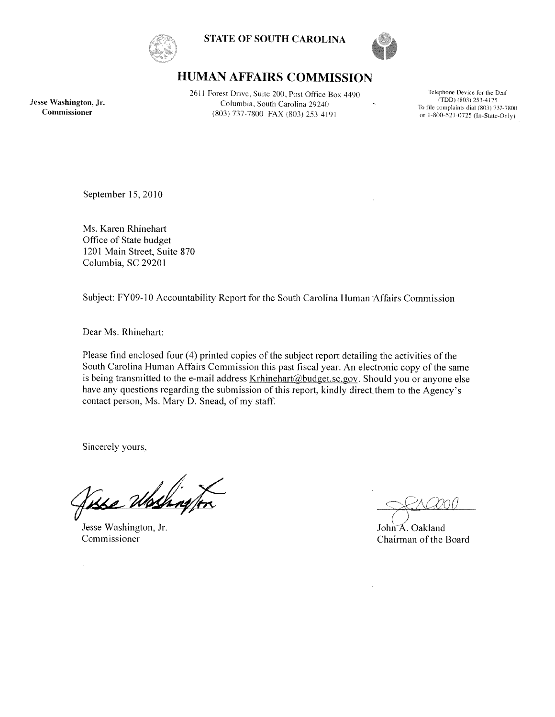

**STATE OF SOUTH CAROLINA** 



# **HUMAN AFFAIRS COMMISSION**

Jesse Washington, Jr. Commissioner

2611 Forest Drive, Suite 200, Post Office Box 4490 Columbia, South Carolina 29240 (803) 737-7800 FAX (803) 253-4191

Telephone Device for the Deaf  $(TDD)$  (803) 253-4125 To file complaints dial (803) 737-7800 or 1-800-521-0725 (In-State-Only)

September 15, 2010

Ms. Karen Rhinehart Office of State budget 1201 Main Street, Suite 870 Columbia, SC 29201

Subject: FY09-10 Accountability Report for the South Carolina Human Affairs Commission

Dear Ms. Rhinehart:

Please find enclosed four (4) printed copies of the subject report detailing the activities of the South Carolina Human Affairs Commission this past fiscal year. An electronic copy of the same is being transmitted to the e-mail address Krhinehart@budget.sc.gov. Should you or anyone else have any questions regarding the submission of this report, kindly direct them to the Agency's contact person, Ms. Mary D. Snead, of my staff.

Sincerely yours,

<u>Yase Wo</u>

Jesse Washington, Jr. Commissioner

John A. Oakland Chairman of the Board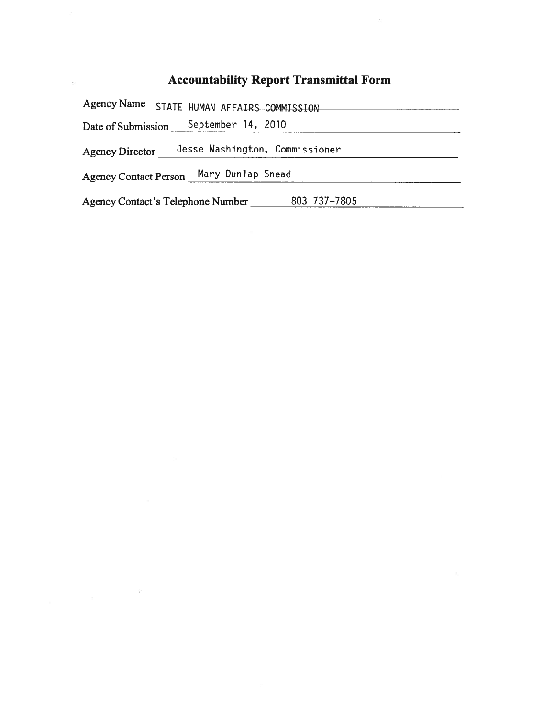# **Accountability Report Transmittal Form**

 $\bar{c}$ 

 $\sim$ 

Agency Name STATE HUMAN AFFAIRS COMMISSION Date of Submission \_\_\_\_\_ September 14, 2010 Agency Director \_\_\_\_ Jesse Washington, Commissioner <u> 1980 - Jan Stein Stein Stein Stein Stein Stein Stein Stein Stein Stein Stein Stein Stein Stein Stein Stein S</u> Agency Contact Person Mary Dunlap Snead Agency Contact's Telephone Number 803 737-7805

 $\sim$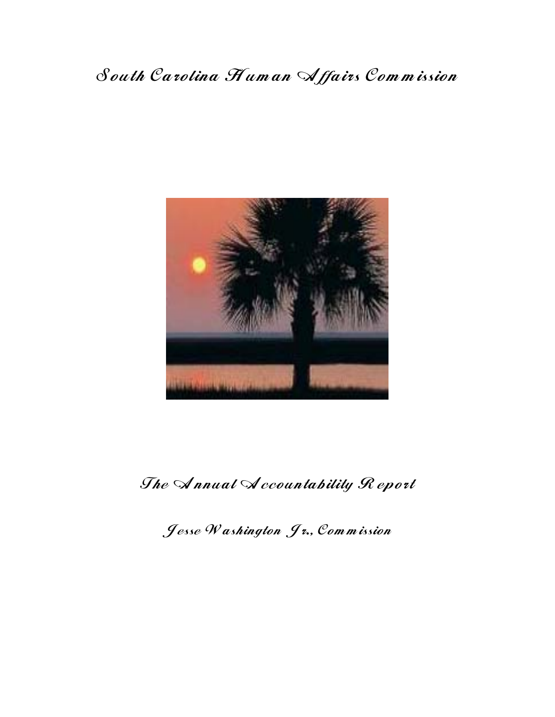# South Carolina Human Affairs Commission



The Annual Accountability Report

Jesse Washington Jr., Commission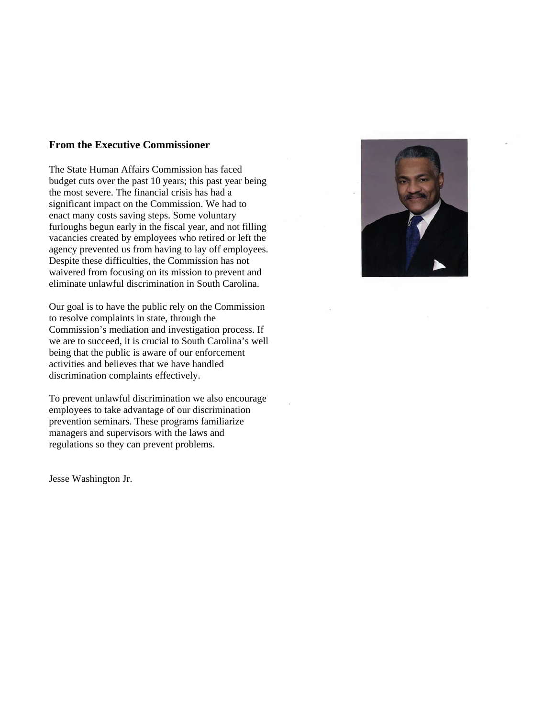#### **From the Executive Commissioner**

The State Human Affairs Commission has faced budget cuts over the past 10 years; this past year being the most severe. The financial crisis has had a significant impact on the Commission. We had to enact many costs saving steps. Some voluntary furloughs begun early in the fiscal year, and not filling vacancies created by employees who retired or left the agency prevented us from having to lay off employees. Despite these difficulties, the Commission has not waivered from focusing on its mission to prevent and eliminate unlawful discrimination in South Carolina.

Our goal is to have the public rely on the Commission to resolve complaints in state, through the Commission's mediation and investigation process. If we are to succeed, it is crucial to South Carolina's well being that the public is aware of our enforcement activities and believes that we have handled discrimination complaints effectively.

To prevent unlawful discrimination we also encourage employees to take advantage of our discrimination prevention seminars. These programs familiarize managers and supervisors with the laws and regulations so they can prevent problems.

Jesse Washington Jr.

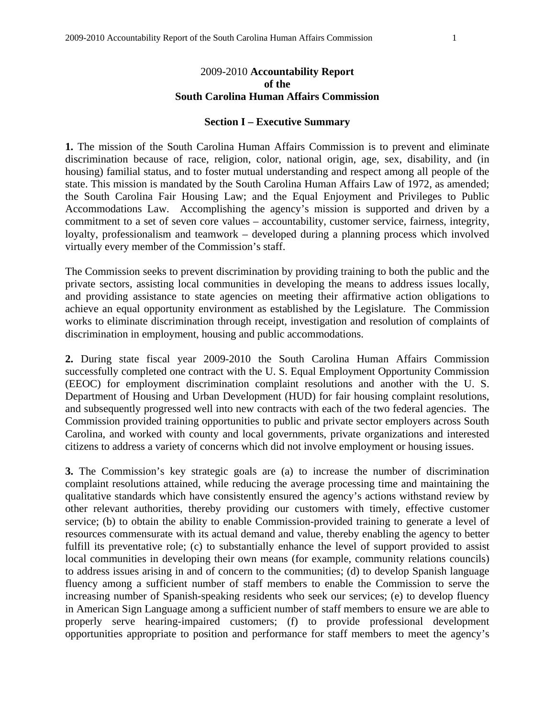#### 2009-2010 **Accountability Report of the South Carolina Human Affairs Commission**

#### **Section I – Executive Summary**

**1.** The mission of the South Carolina Human Affairs Commission is to prevent and eliminate discrimination because of race, religion, color, national origin, age, sex, disability, and (in housing) familial status, and to foster mutual understanding and respect among all people of the state. This mission is mandated by the South Carolina Human Affairs Law of 1972, as amended; the South Carolina Fair Housing Law; and the Equal Enjoyment and Privileges to Public Accommodations Law. Accomplishing the agency's mission is supported and driven by a commitment to a set of seven core values – accountability, customer service, fairness, integrity, loyalty, professionalism and teamwork – developed during a planning process which involved virtually every member of the Commission's staff.

The Commission seeks to prevent discrimination by providing training to both the public and the private sectors, assisting local communities in developing the means to address issues locally, and providing assistance to state agencies on meeting their affirmative action obligations to achieve an equal opportunity environment as established by the Legislature. The Commission works to eliminate discrimination through receipt, investigation and resolution of complaints of discrimination in employment, housing and public accommodations.

**2.** During state fiscal year 2009-2010 the South Carolina Human Affairs Commission successfully completed one contract with the U. S. Equal Employment Opportunity Commission (EEOC) for employment discrimination complaint resolutions and another with the U. S. Department of Housing and Urban Development (HUD) for fair housing complaint resolutions, and subsequently progressed well into new contracts with each of the two federal agencies. The Commission provided training opportunities to public and private sector employers across South Carolina, and worked with county and local governments, private organizations and interested citizens to address a variety of concerns which did not involve employment or housing issues.

**3.** The Commission's key strategic goals are (a) to increase the number of discrimination complaint resolutions attained, while reducing the average processing time and maintaining the qualitative standards which have consistently ensured the agency's actions withstand review by other relevant authorities, thereby providing our customers with timely, effective customer service; (b) to obtain the ability to enable Commission-provided training to generate a level of resources commensurate with its actual demand and value, thereby enabling the agency to better fulfill its preventative role; (c) to substantially enhance the level of support provided to assist local communities in developing their own means (for example, community relations councils) to address issues arising in and of concern to the communities; (d) to develop Spanish language fluency among a sufficient number of staff members to enable the Commission to serve the increasing number of Spanish-speaking residents who seek our services; (e) to develop fluency in American Sign Language among a sufficient number of staff members to ensure we are able to properly serve hearing-impaired customers; (f) to provide professional development opportunities appropriate to position and performance for staff members to meet the agency's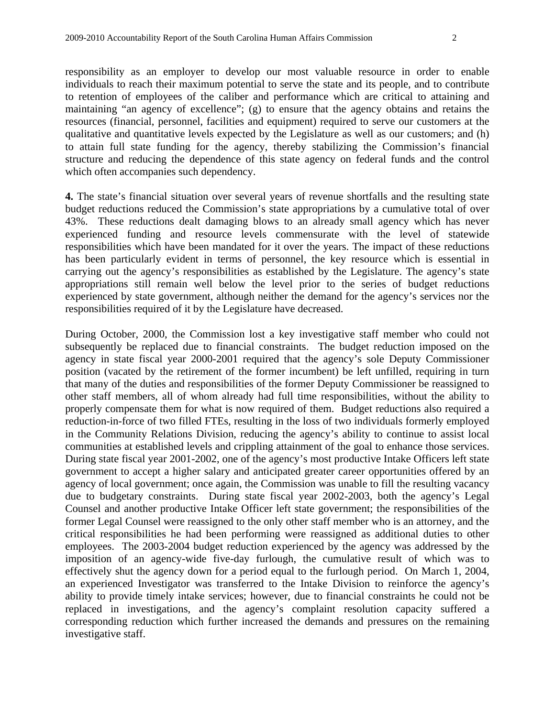responsibility as an employer to develop our most valuable resource in order to enable individuals to reach their maximum potential to serve the state and its people, and to contribute to retention of employees of the caliber and performance which are critical to attaining and maintaining "an agency of excellence"; (g) to ensure that the agency obtains and retains the resources (financial, personnel, facilities and equipment) required to serve our customers at the qualitative and quantitative levels expected by the Legislature as well as our customers; and (h) to attain full state funding for the agency, thereby stabilizing the Commission's financial structure and reducing the dependence of this state agency on federal funds and the control which often accompanies such dependency.

**4.** The state's financial situation over several years of revenue shortfalls and the resulting state budget reductions reduced the Commission's state appropriations by a cumulative total of over 43%. These reductions dealt damaging blows to an already small agency which has never experienced funding and resource levels commensurate with the level of statewide responsibilities which have been mandated for it over the years. The impact of these reductions has been particularly evident in terms of personnel, the key resource which is essential in carrying out the agency's responsibilities as established by the Legislature. The agency's state appropriations still remain well below the level prior to the series of budget reductions experienced by state government, although neither the demand for the agency's services nor the responsibilities required of it by the Legislature have decreased.

During October, 2000, the Commission lost a key investigative staff member who could not subsequently be replaced due to financial constraints. The budget reduction imposed on the agency in state fiscal year 2000-2001 required that the agency's sole Deputy Commissioner position (vacated by the retirement of the former incumbent) be left unfilled, requiring in turn that many of the duties and responsibilities of the former Deputy Commissioner be reassigned to other staff members, all of whom already had full time responsibilities, without the ability to properly compensate them for what is now required of them. Budget reductions also required a reduction-in-force of two filled FTEs, resulting in the loss of two individuals formerly employed in the Community Relations Division, reducing the agency's ability to continue to assist local communities at established levels and crippling attainment of the goal to enhance those services. During state fiscal year 2001-2002, one of the agency's most productive Intake Officers left state government to accept a higher salary and anticipated greater career opportunities offered by an agency of local government; once again, the Commission was unable to fill the resulting vacancy due to budgetary constraints. During state fiscal year 2002-2003, both the agency's Legal Counsel and another productive Intake Officer left state government; the responsibilities of the former Legal Counsel were reassigned to the only other staff member who is an attorney, and the critical responsibilities he had been performing were reassigned as additional duties to other employees. The 2003-2004 budget reduction experienced by the agency was addressed by the imposition of an agency-wide five-day furlough, the cumulative result of which was to effectively shut the agency down for a period equal to the furlough period. On March 1, 2004, an experienced Investigator was transferred to the Intake Division to reinforce the agency's ability to provide timely intake services; however, due to financial constraints he could not be replaced in investigations, and the agency's complaint resolution capacity suffered a corresponding reduction which further increased the demands and pressures on the remaining investigative staff.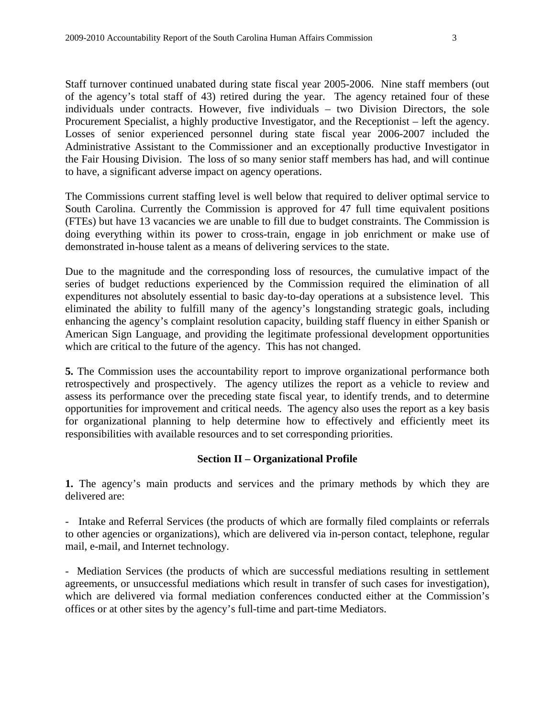Staff turnover continued unabated during state fiscal year 2005-2006. Nine staff members (out of the agency's total staff of 43) retired during the year. The agency retained four of these individuals under contracts. However, five individuals – two Division Directors, the sole Procurement Specialist, a highly productive Investigator, and the Receptionist – left the agency. Losses of senior experienced personnel during state fiscal year 2006-2007 included the Administrative Assistant to the Commissioner and an exceptionally productive Investigator in the Fair Housing Division. The loss of so many senior staff members has had, and will continue to have, a significant adverse impact on agency operations.

The Commissions current staffing level is well below that required to deliver optimal service to South Carolina. Currently the Commission is approved for 47 full time equivalent positions (FTEs) but have 13 vacancies we are unable to fill due to budget constraints. The Commission is doing everything within its power to cross-train, engage in job enrichment or make use of demonstrated in-house talent as a means of delivering services to the state.

Due to the magnitude and the corresponding loss of resources, the cumulative impact of the series of budget reductions experienced by the Commission required the elimination of all expenditures not absolutely essential to basic day-to-day operations at a subsistence level. This eliminated the ability to fulfill many of the agency's longstanding strategic goals, including enhancing the agency's complaint resolution capacity, building staff fluency in either Spanish or American Sign Language, and providing the legitimate professional development opportunities which are critical to the future of the agency. This has not changed.

**5.** The Commission uses the accountability report to improve organizational performance both retrospectively and prospectively. The agency utilizes the report as a vehicle to review and assess its performance over the preceding state fiscal year, to identify trends, and to determine opportunities for improvement and critical needs. The agency also uses the report as a key basis for organizational planning to help determine how to effectively and efficiently meet its responsibilities with available resources and to set corresponding priorities.

## **Section II – Organizational Profile**

**1.** The agency's main products and services and the primary methods by which they are delivered are:

- Intake and Referral Services (the products of which are formally filed complaints or referrals to other agencies or organizations), which are delivered via in-person contact, telephone, regular mail, e-mail, and Internet technology.

- Mediation Services (the products of which are successful mediations resulting in settlement agreements, or unsuccessful mediations which result in transfer of such cases for investigation), which are delivered via formal mediation conferences conducted either at the Commission's offices or at other sites by the agency's full-time and part-time Mediators.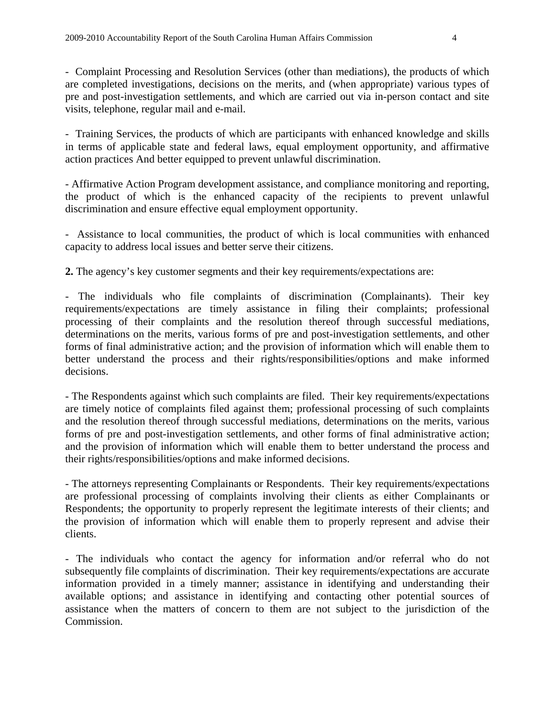- Complaint Processing and Resolution Services (other than mediations), the products of which are completed investigations, decisions on the merits, and (when appropriate) various types of pre and post-investigation settlements, and which are carried out via in-person contact and site visits, telephone, regular mail and e-mail.

- Training Services, the products of which are participants with enhanced knowledge and skills in terms of applicable state and federal laws, equal employment opportunity, and affirmative action practices And better equipped to prevent unlawful discrimination.

- Affirmative Action Program development assistance, and compliance monitoring and reporting, the product of which is the enhanced capacity of the recipients to prevent unlawful discrimination and ensure effective equal employment opportunity.

- Assistance to local communities, the product of which is local communities with enhanced capacity to address local issues and better serve their citizens.

**2.** The agency's key customer segments and their key requirements/expectations are:

- The individuals who file complaints of discrimination (Complainants). Their key requirements/expectations are timely assistance in filing their complaints; professional processing of their complaints and the resolution thereof through successful mediations, determinations on the merits, various forms of pre and post-investigation settlements, and other forms of final administrative action; and the provision of information which will enable them to better understand the process and their rights/responsibilities/options and make informed decisions.

- The Respondents against which such complaints are filed. Their key requirements/expectations are timely notice of complaints filed against them; professional processing of such complaints and the resolution thereof through successful mediations, determinations on the merits, various forms of pre and post-investigation settlements, and other forms of final administrative action; and the provision of information which will enable them to better understand the process and their rights/responsibilities/options and make informed decisions.

- The attorneys representing Complainants or Respondents. Their key requirements/expectations are professional processing of complaints involving their clients as either Complainants or Respondents; the opportunity to properly represent the legitimate interests of their clients; and the provision of information which will enable them to properly represent and advise their clients.

- The individuals who contact the agency for information and/or referral who do not subsequently file complaints of discrimination. Their key requirements/expectations are accurate information provided in a timely manner; assistance in identifying and understanding their available options; and assistance in identifying and contacting other potential sources of assistance when the matters of concern to them are not subject to the jurisdiction of the Commission.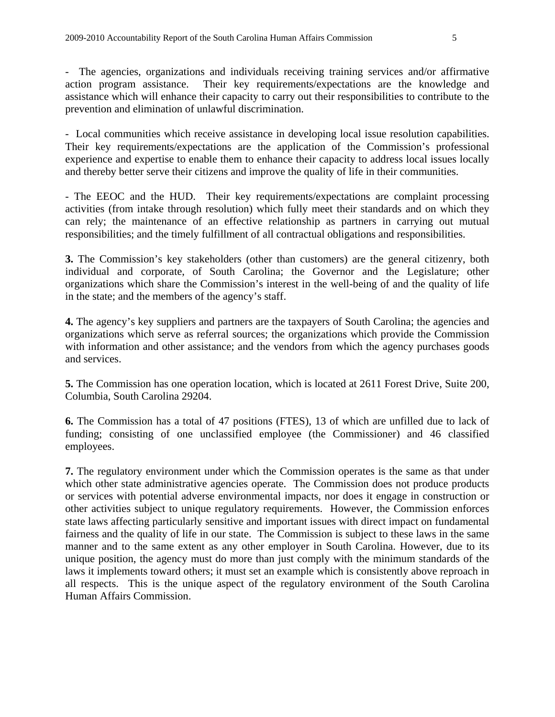- The agencies, organizations and individuals receiving training services and/or affirmative action program assistance. Their key requirements/expectations are the knowledge and assistance which will enhance their capacity to carry out their responsibilities to contribute to the prevention and elimination of unlawful discrimination.

- Local communities which receive assistance in developing local issue resolution capabilities. Their key requirements/expectations are the application of the Commission's professional experience and expertise to enable them to enhance their capacity to address local issues locally and thereby better serve their citizens and improve the quality of life in their communities.

- The EEOC and the HUD. Their key requirements/expectations are complaint processing activities (from intake through resolution) which fully meet their standards and on which they can rely; the maintenance of an effective relationship as partners in carrying out mutual responsibilities; and the timely fulfillment of all contractual obligations and responsibilities.

**3.** The Commission's key stakeholders (other than customers) are the general citizenry, both individual and corporate, of South Carolina; the Governor and the Legislature; other organizations which share the Commission's interest in the well-being of and the quality of life in the state; and the members of the agency's staff.

**4.** The agency's key suppliers and partners are the taxpayers of South Carolina; the agencies and organizations which serve as referral sources; the organizations which provide the Commission with information and other assistance; and the vendors from which the agency purchases goods and services.

**5.** The Commission has one operation location, which is located at 2611 Forest Drive, Suite 200, Columbia, South Carolina 29204.

**6.** The Commission has a total of 47 positions (FTES), 13 of which are unfilled due to lack of funding; consisting of one unclassified employee (the Commissioner) and 46 classified employees.

**7.** The regulatory environment under which the Commission operates is the same as that under which other state administrative agencies operate. The Commission does not produce products or services with potential adverse environmental impacts, nor does it engage in construction or other activities subject to unique regulatory requirements. However, the Commission enforces state laws affecting particularly sensitive and important issues with direct impact on fundamental fairness and the quality of life in our state. The Commission is subject to these laws in the same manner and to the same extent as any other employer in South Carolina. However, due to its unique position, the agency must do more than just comply with the minimum standards of the laws it implements toward others; it must set an example which is consistently above reproach in all respects. This is the unique aspect of the regulatory environment of the South Carolina Human Affairs Commission.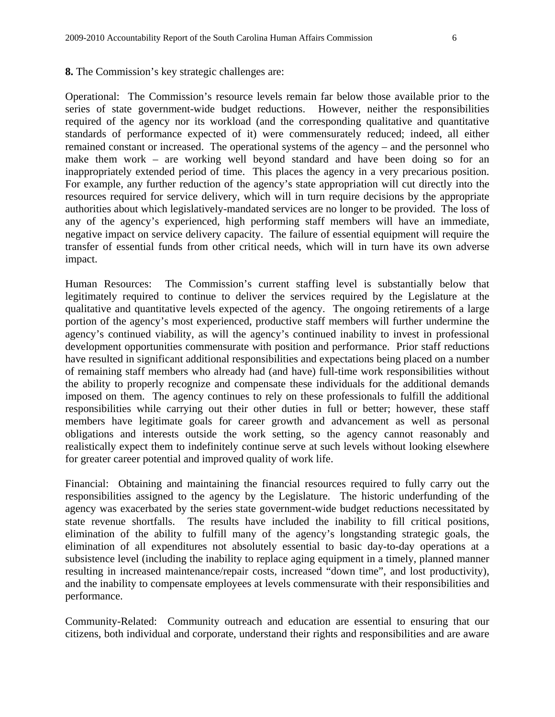**8.** The Commission's key strategic challenges are:

Operational: The Commission's resource levels remain far below those available prior to the series of state government-wide budget reductions. However, neither the responsibilities required of the agency nor its workload (and the corresponding qualitative and quantitative standards of performance expected of it) were commensurately reduced; indeed, all either remained constant or increased. The operational systems of the agency – and the personnel who make them work – are working well beyond standard and have been doing so for an inappropriately extended period of time. This places the agency in a very precarious position. For example, any further reduction of the agency's state appropriation will cut directly into the resources required for service delivery, which will in turn require decisions by the appropriate authorities about which legislatively-mandated services are no longer to be provided. The loss of any of the agency's experienced, high performing staff members will have an immediate, negative impact on service delivery capacity. The failure of essential equipment will require the transfer of essential funds from other critical needs, which will in turn have its own adverse impact.

Human Resources: The Commission's current staffing level is substantially below that legitimately required to continue to deliver the services required by the Legislature at the qualitative and quantitative levels expected of the agency. The ongoing retirements of a large portion of the agency's most experienced, productive staff members will further undermine the agency's continued viability, as will the agency's continued inability to invest in professional development opportunities commensurate with position and performance. Prior staff reductions have resulted in significant additional responsibilities and expectations being placed on a number of remaining staff members who already had (and have) full-time work responsibilities without the ability to properly recognize and compensate these individuals for the additional demands imposed on them. The agency continues to rely on these professionals to fulfill the additional responsibilities while carrying out their other duties in full or better; however, these staff members have legitimate goals for career growth and advancement as well as personal obligations and interests outside the work setting, so the agency cannot reasonably and realistically expect them to indefinitely continue serve at such levels without looking elsewhere for greater career potential and improved quality of work life.

Financial: Obtaining and maintaining the financial resources required to fully carry out the responsibilities assigned to the agency by the Legislature. The historic underfunding of the agency was exacerbated by the series state government-wide budget reductions necessitated by state revenue shortfalls. The results have included the inability to fill critical positions, elimination of the ability to fulfill many of the agency's longstanding strategic goals, the elimination of all expenditures not absolutely essential to basic day-to-day operations at a subsistence level (including the inability to replace aging equipment in a timely, planned manner resulting in increased maintenance/repair costs, increased "down time", and lost productivity), and the inability to compensate employees at levels commensurate with their responsibilities and performance.

Community-Related: Community outreach and education are essential to ensuring that our citizens, both individual and corporate, understand their rights and responsibilities and are aware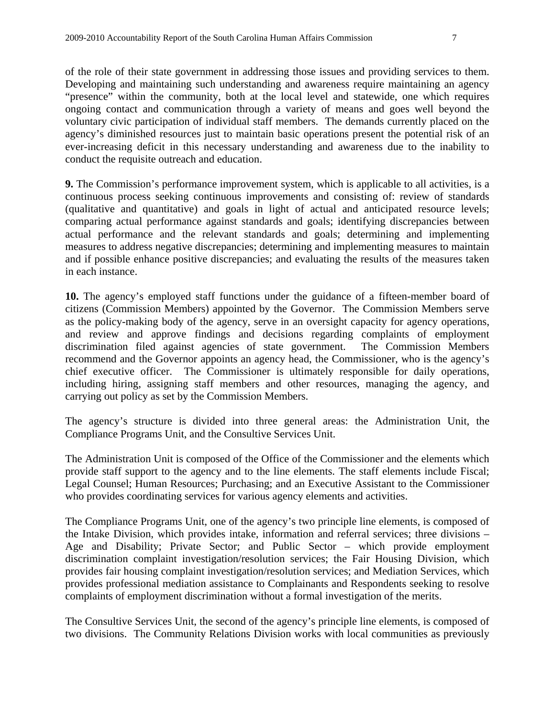of the role of their state government in addressing those issues and providing services to them. Developing and maintaining such understanding and awareness require maintaining an agency "presence" within the community, both at the local level and statewide, one which requires ongoing contact and communication through a variety of means and goes well beyond the voluntary civic participation of individual staff members. The demands currently placed on the agency's diminished resources just to maintain basic operations present the potential risk of an ever-increasing deficit in this necessary understanding and awareness due to the inability to conduct the requisite outreach and education.

**9.** The Commission's performance improvement system, which is applicable to all activities, is a continuous process seeking continuous improvements and consisting of: review of standards (qualitative and quantitative) and goals in light of actual and anticipated resource levels; comparing actual performance against standards and goals; identifying discrepancies between actual performance and the relevant standards and goals; determining and implementing measures to address negative discrepancies; determining and implementing measures to maintain and if possible enhance positive discrepancies; and evaluating the results of the measures taken in each instance.

**10.** The agency's employed staff functions under the guidance of a fifteen-member board of citizens (Commission Members) appointed by the Governor. The Commission Members serve as the policy-making body of the agency, serve in an oversight capacity for agency operations, and review and approve findings and decisions regarding complaints of employment discrimination filed against agencies of state government. The Commission Members recommend and the Governor appoints an agency head, the Commissioner, who is the agency's chief executive officer. The Commissioner is ultimately responsible for daily operations, including hiring, assigning staff members and other resources, managing the agency, and carrying out policy as set by the Commission Members.

The agency's structure is divided into three general areas: the Administration Unit, the Compliance Programs Unit, and the Consultive Services Unit.

The Administration Unit is composed of the Office of the Commissioner and the elements which provide staff support to the agency and to the line elements. The staff elements include Fiscal; Legal Counsel; Human Resources; Purchasing; and an Executive Assistant to the Commissioner who provides coordinating services for various agency elements and activities.

The Compliance Programs Unit, one of the agency's two principle line elements, is composed of the Intake Division, which provides intake, information and referral services; three divisions – Age and Disability; Private Sector; and Public Sector – which provide employment discrimination complaint investigation/resolution services; the Fair Housing Division, which provides fair housing complaint investigation/resolution services; and Mediation Services, which provides professional mediation assistance to Complainants and Respondents seeking to resolve complaints of employment discrimination without a formal investigation of the merits.

The Consultive Services Unit, the second of the agency's principle line elements, is composed of two divisions. The Community Relations Division works with local communities as previously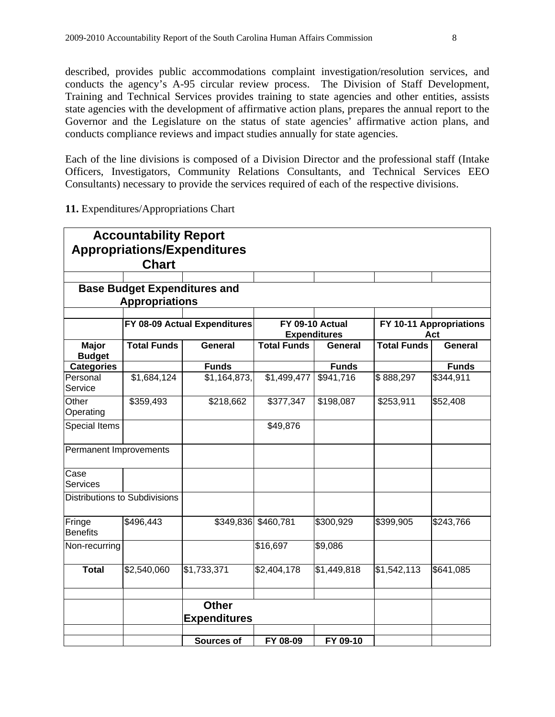described, provides public accommodations complaint investigation/resolution services, and conducts the agency's A-95 circular review process. The Division of Staff Development, Training and Technical Services provides training to state agencies and other entities, assists state agencies with the development of affirmative action plans, prepares the annual report to the Governor and the Legislature on the status of state agencies' affirmative action plans, and conducts compliance reviews and impact studies annually for state agencies.

Each of the line divisions is composed of a Division Director and the professional staff (Intake Officers, Investigators, Community Relations Consultants, and Technical Services EEO Consultants) necessary to provide the services required of each of the respective divisions.

|  |  |  |  | 11. Expenditures/Appropriations Chart |  |
|--|--|--|--|---------------------------------------|--|
|--|--|--|--|---------------------------------------|--|

|                           | <b>Accountability Report</b><br><b>Chart</b> | <b>Appropriations/Expenditures</b>  |                    |                                        |                    |                                |
|---------------------------|----------------------------------------------|-------------------------------------|--------------------|----------------------------------------|--------------------|--------------------------------|
|                           |                                              |                                     |                    |                                        |                    |                                |
|                           | <b>Appropriations</b>                        | <b>Base Budget Expenditures and</b> |                    |                                        |                    |                                |
|                           |                                              |                                     |                    |                                        |                    |                                |
|                           |                                              | FY 08-09 Actual Expenditures        |                    | FY 09-10 Actual<br><b>Expenditures</b> |                    | FY 10-11 Appropriations<br>Act |
| Major<br><b>Budget</b>    | <b>Total Funds</b>                           | General                             | <b>Total Funds</b> | General                                | <b>Total Funds</b> | <b>General</b>                 |
| <b>Categories</b>         |                                              | <b>Funds</b>                        |                    | <b>Funds</b>                           |                    | <b>Funds</b>                   |
| Personal<br>Service       | \$1,684,124                                  | \$1,164,873,                        | \$1,499,477        | \$941,716                              | \$888,297          | \$344,911                      |
| Other<br>Operating        | \$359,493                                    | \$218,662                           | \$377,347          | \$198,087                              | \$253,911          | \$52,408                       |
| Special Items             |                                              |                                     | \$49,876           |                                        |                    |                                |
| Permanent Improvements    |                                              |                                     |                    |                                        |                    |                                |
| Case<br><b>Services</b>   |                                              |                                     |                    |                                        |                    |                                |
|                           | Distributions to Subdivisions                |                                     |                    |                                        |                    |                                |
| Fringe<br><b>Benefits</b> | \$496,443                                    | \$349,836                           | \$460,781          | \$300,929                              | \$399,905          | \$243,766                      |
| Non-recurring             |                                              |                                     | \$16,697           | \$9,086                                |                    |                                |
| <b>Total</b>              | \$2,540,060                                  | \$1,733,371                         | \$2,404,178        | \$1,449,818                            | \$1,542,113        | \$641,085                      |
|                           |                                              |                                     |                    |                                        |                    |                                |
|                           |                                              | <b>Other</b><br><b>Expenditures</b> |                    |                                        |                    |                                |
|                           |                                              |                                     |                    |                                        |                    |                                |
|                           |                                              | <b>Sources of</b>                   | FY 08-09           | FY 09-10                               |                    |                                |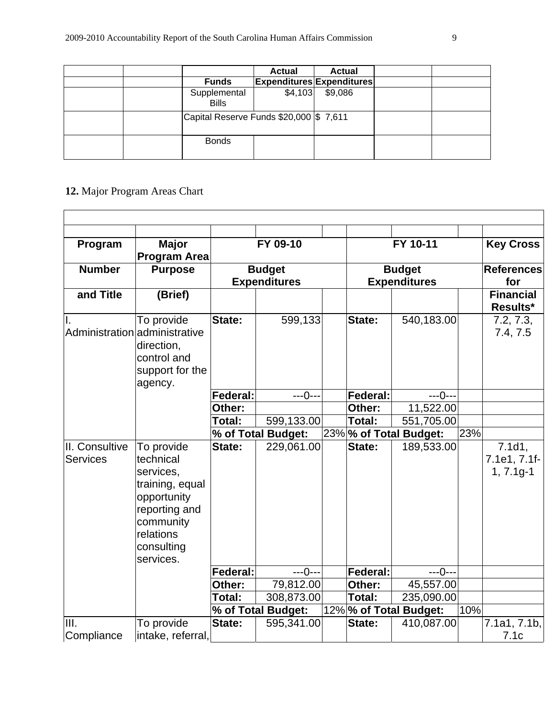|  |                                          | <b>Actual</b>                    | <b>Actual</b> |  |
|--|------------------------------------------|----------------------------------|---------------|--|
|  | <b>Funds</b>                             | <b>Expenditures Expenditures</b> |               |  |
|  | Supplemental<br><b>Bills</b>             | \$4,103                          | \$9,086       |  |
|  | Capital Reserve Funds \$20,000   \$7,611 |                                  |               |  |
|  | <b>Bonds</b>                             |                                  |               |  |

# **12.** Major Program Areas Chart

| Program                           | <b>Major</b><br><b>Program Area</b>                                                                                                          |                 | FY 09-10                             |                                      | FY 10-11               |     | <b>Key Cross</b>                      |  |
|-----------------------------------|----------------------------------------------------------------------------------------------------------------------------------------------|-----------------|--------------------------------------|--------------------------------------|------------------------|-----|---------------------------------------|--|
| <b>Number</b>                     | <b>Purpose</b>                                                                                                                               |                 | <b>Budget</b><br><b>Expenditures</b> | <b>Budget</b><br><b>Expenditures</b> |                        |     | <b>References</b><br>for              |  |
| and Title                         | (Brief)                                                                                                                                      |                 |                                      |                                      |                        |     | <b>Financial</b><br>Results*          |  |
| II.                               | To provide<br>Administration administrative<br>direction,<br>control and<br>support for the<br>agency.                                       | State:          | 599,133                              | <b>State:</b>                        | 540,183.00             |     | 7.2, 7.3,<br>7.4, 7.5                 |  |
|                                   |                                                                                                                                              | <b>Federal:</b> | $---0---$                            | <b>Federal:</b>                      | $---0---$              |     |                                       |  |
|                                   |                                                                                                                                              | Other:          |                                      | Other:                               | 11,522.00              |     |                                       |  |
|                                   |                                                                                                                                              | Total:          | 599,133.00                           | Total:                               | 551,705.00             |     |                                       |  |
|                                   |                                                                                                                                              |                 | % of Total Budget:                   |                                      | 23% % of Total Budget: | 23% |                                       |  |
| II. Consultive<br><b>Services</b> | To provide<br>technical<br>services,<br>training, equal<br>opportunity<br>reporting and<br>community<br>relations<br>consulting<br>services. | State:          | 229,061.00                           | State:                               | 189,533.00             |     | 7.1d1,<br>7.1e1, 7.1f-<br>$1, 7.1g-1$ |  |
|                                   |                                                                                                                                              | <b>Federal:</b> | $---0---$                            | <b>Federal:</b>                      | $---0---$              |     |                                       |  |
|                                   |                                                                                                                                              | Other:          | 79,812.00                            | Other:                               | 45,557.00              |     |                                       |  |
|                                   |                                                                                                                                              | Total:          | 308,873.00                           | Total:                               | 235,090.00             |     |                                       |  |
|                                   |                                                                                                                                              |                 | % of Total Budget:                   |                                      | 12% % of Total Budget: | 10% |                                       |  |
| III.                              | To provide                                                                                                                                   | State:          | 595,341.00                           | State:                               | 410,087.00             |     | 7.1a1, 7.1b,                          |  |
| Compliance                        | intake, referral,                                                                                                                            |                 |                                      |                                      |                        |     | 7.1c                                  |  |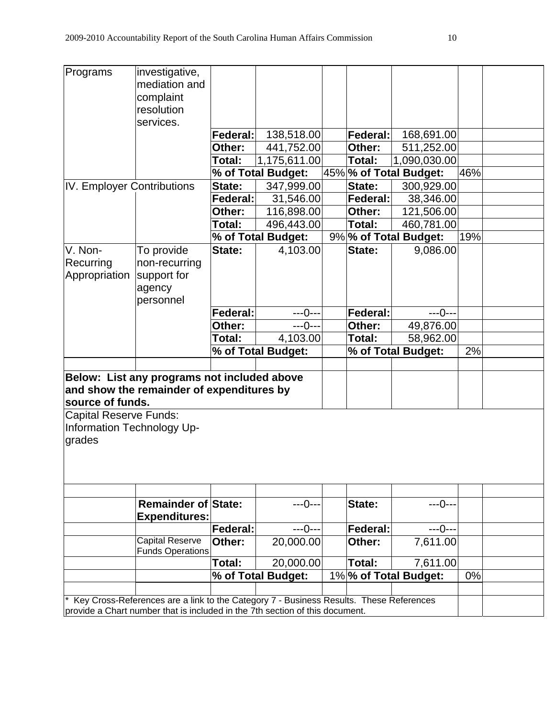| complaint<br>resolution<br>services.<br><b>Federal:</b><br>138,518.00<br><b>Federal:</b><br>168,691.00<br>Other:<br>441,752.00<br>511,252.00<br>Other:<br>Total:<br>1,090,030.00<br>Total:<br>1,175,611.00<br>% of Total Budget:<br>45% % of Total Budget:<br>46%<br>IV. Employer Contributions<br>300,929.00<br>State:<br>347,999.00<br>State:<br><b>Federal:</b><br>Federal:<br>31,546.00<br>38,346.00<br>116,898.00<br>Other:<br>121,506.00<br>Other:<br>Total:<br>496,443.00<br>Total:<br>460,781.00<br>% of Total Budget:<br>9% % of Total Budget:<br>19%<br>V. Non-<br>To provide<br>9,086.00<br>State:<br>4,103.00<br>State:<br>Recurring<br>non-recurring<br>Appropriation<br>support for<br>agency<br>personnel<br>$---0---$<br><b>Federal:</b><br><b>Federal:</b><br>$---0---$<br>$---0---$<br>Other:<br>Other:<br>49,876.00<br>Total:<br>Total:<br>58,962.00<br>4,103.00<br>% of Total Budget:<br>2%<br>% of Total Budget:<br>Below: List any programs not included above<br>and show the remainder of expenditures by<br>source of funds.<br>Capital Reserve Funds:<br>Information Technology Up-<br><b>Remainder of State:</b><br>$---0---$<br>State:<br>---0---<br><b>Expenditures:</b><br><b>Federal:</b><br><b>Federal:</b><br>$---0---$<br>$---0---$<br><b>Capital Reserve</b><br>7,611.00<br>Other:<br>20,000.00<br>Other:<br><b>Funds Operations</b><br>Total:<br>Total:<br>7,611.00<br>20,000.00<br>1%% of Total Budget:<br>0%<br>% of Total Budget:<br>Key Cross-References are a link to the Category 7 - Business Results. These References<br>provide a Chart number that is included in the 7th section of this document. | Programs | investigative, |  |  |  |  |
|----------------------------------------------------------------------------------------------------------------------------------------------------------------------------------------------------------------------------------------------------------------------------------------------------------------------------------------------------------------------------------------------------------------------------------------------------------------------------------------------------------------------------------------------------------------------------------------------------------------------------------------------------------------------------------------------------------------------------------------------------------------------------------------------------------------------------------------------------------------------------------------------------------------------------------------------------------------------------------------------------------------------------------------------------------------------------------------------------------------------------------------------------------------------------------------------------------------------------------------------------------------------------------------------------------------------------------------------------------------------------------------------------------------------------------------------------------------------------------------------------------------------------------------------------------------------------------------------------------------------------------------------------|----------|----------------|--|--|--|--|
|                                                                                                                                                                                                                                                                                                                                                                                                                                                                                                                                                                                                                                                                                                                                                                                                                                                                                                                                                                                                                                                                                                                                                                                                                                                                                                                                                                                                                                                                                                                                                                                                                                                    |          | mediation and  |  |  |  |  |
|                                                                                                                                                                                                                                                                                                                                                                                                                                                                                                                                                                                                                                                                                                                                                                                                                                                                                                                                                                                                                                                                                                                                                                                                                                                                                                                                                                                                                                                                                                                                                                                                                                                    |          |                |  |  |  |  |
|                                                                                                                                                                                                                                                                                                                                                                                                                                                                                                                                                                                                                                                                                                                                                                                                                                                                                                                                                                                                                                                                                                                                                                                                                                                                                                                                                                                                                                                                                                                                                                                                                                                    |          |                |  |  |  |  |
|                                                                                                                                                                                                                                                                                                                                                                                                                                                                                                                                                                                                                                                                                                                                                                                                                                                                                                                                                                                                                                                                                                                                                                                                                                                                                                                                                                                                                                                                                                                                                                                                                                                    |          |                |  |  |  |  |
|                                                                                                                                                                                                                                                                                                                                                                                                                                                                                                                                                                                                                                                                                                                                                                                                                                                                                                                                                                                                                                                                                                                                                                                                                                                                                                                                                                                                                                                                                                                                                                                                                                                    |          |                |  |  |  |  |
|                                                                                                                                                                                                                                                                                                                                                                                                                                                                                                                                                                                                                                                                                                                                                                                                                                                                                                                                                                                                                                                                                                                                                                                                                                                                                                                                                                                                                                                                                                                                                                                                                                                    |          |                |  |  |  |  |
|                                                                                                                                                                                                                                                                                                                                                                                                                                                                                                                                                                                                                                                                                                                                                                                                                                                                                                                                                                                                                                                                                                                                                                                                                                                                                                                                                                                                                                                                                                                                                                                                                                                    |          |                |  |  |  |  |
|                                                                                                                                                                                                                                                                                                                                                                                                                                                                                                                                                                                                                                                                                                                                                                                                                                                                                                                                                                                                                                                                                                                                                                                                                                                                                                                                                                                                                                                                                                                                                                                                                                                    |          |                |  |  |  |  |
|                                                                                                                                                                                                                                                                                                                                                                                                                                                                                                                                                                                                                                                                                                                                                                                                                                                                                                                                                                                                                                                                                                                                                                                                                                                                                                                                                                                                                                                                                                                                                                                                                                                    |          |                |  |  |  |  |
|                                                                                                                                                                                                                                                                                                                                                                                                                                                                                                                                                                                                                                                                                                                                                                                                                                                                                                                                                                                                                                                                                                                                                                                                                                                                                                                                                                                                                                                                                                                                                                                                                                                    |          |                |  |  |  |  |
|                                                                                                                                                                                                                                                                                                                                                                                                                                                                                                                                                                                                                                                                                                                                                                                                                                                                                                                                                                                                                                                                                                                                                                                                                                                                                                                                                                                                                                                                                                                                                                                                                                                    |          |                |  |  |  |  |
|                                                                                                                                                                                                                                                                                                                                                                                                                                                                                                                                                                                                                                                                                                                                                                                                                                                                                                                                                                                                                                                                                                                                                                                                                                                                                                                                                                                                                                                                                                                                                                                                                                                    |          |                |  |  |  |  |
|                                                                                                                                                                                                                                                                                                                                                                                                                                                                                                                                                                                                                                                                                                                                                                                                                                                                                                                                                                                                                                                                                                                                                                                                                                                                                                                                                                                                                                                                                                                                                                                                                                                    |          |                |  |  |  |  |
|                                                                                                                                                                                                                                                                                                                                                                                                                                                                                                                                                                                                                                                                                                                                                                                                                                                                                                                                                                                                                                                                                                                                                                                                                                                                                                                                                                                                                                                                                                                                                                                                                                                    |          |                |  |  |  |  |
|                                                                                                                                                                                                                                                                                                                                                                                                                                                                                                                                                                                                                                                                                                                                                                                                                                                                                                                                                                                                                                                                                                                                                                                                                                                                                                                                                                                                                                                                                                                                                                                                                                                    |          |                |  |  |  |  |
|                                                                                                                                                                                                                                                                                                                                                                                                                                                                                                                                                                                                                                                                                                                                                                                                                                                                                                                                                                                                                                                                                                                                                                                                                                                                                                                                                                                                                                                                                                                                                                                                                                                    |          |                |  |  |  |  |
|                                                                                                                                                                                                                                                                                                                                                                                                                                                                                                                                                                                                                                                                                                                                                                                                                                                                                                                                                                                                                                                                                                                                                                                                                                                                                                                                                                                                                                                                                                                                                                                                                                                    |          |                |  |  |  |  |
|                                                                                                                                                                                                                                                                                                                                                                                                                                                                                                                                                                                                                                                                                                                                                                                                                                                                                                                                                                                                                                                                                                                                                                                                                                                                                                                                                                                                                                                                                                                                                                                                                                                    |          |                |  |  |  |  |
|                                                                                                                                                                                                                                                                                                                                                                                                                                                                                                                                                                                                                                                                                                                                                                                                                                                                                                                                                                                                                                                                                                                                                                                                                                                                                                                                                                                                                                                                                                                                                                                                                                                    |          |                |  |  |  |  |
|                                                                                                                                                                                                                                                                                                                                                                                                                                                                                                                                                                                                                                                                                                                                                                                                                                                                                                                                                                                                                                                                                                                                                                                                                                                                                                                                                                                                                                                                                                                                                                                                                                                    |          |                |  |  |  |  |
|                                                                                                                                                                                                                                                                                                                                                                                                                                                                                                                                                                                                                                                                                                                                                                                                                                                                                                                                                                                                                                                                                                                                                                                                                                                                                                                                                                                                                                                                                                                                                                                                                                                    |          |                |  |  |  |  |
|                                                                                                                                                                                                                                                                                                                                                                                                                                                                                                                                                                                                                                                                                                                                                                                                                                                                                                                                                                                                                                                                                                                                                                                                                                                                                                                                                                                                                                                                                                                                                                                                                                                    |          |                |  |  |  |  |
|                                                                                                                                                                                                                                                                                                                                                                                                                                                                                                                                                                                                                                                                                                                                                                                                                                                                                                                                                                                                                                                                                                                                                                                                                                                                                                                                                                                                                                                                                                                                                                                                                                                    |          |                |  |  |  |  |
|                                                                                                                                                                                                                                                                                                                                                                                                                                                                                                                                                                                                                                                                                                                                                                                                                                                                                                                                                                                                                                                                                                                                                                                                                                                                                                                                                                                                                                                                                                                                                                                                                                                    |          |                |  |  |  |  |
|                                                                                                                                                                                                                                                                                                                                                                                                                                                                                                                                                                                                                                                                                                                                                                                                                                                                                                                                                                                                                                                                                                                                                                                                                                                                                                                                                                                                                                                                                                                                                                                                                                                    |          |                |  |  |  |  |
|                                                                                                                                                                                                                                                                                                                                                                                                                                                                                                                                                                                                                                                                                                                                                                                                                                                                                                                                                                                                                                                                                                                                                                                                                                                                                                                                                                                                                                                                                                                                                                                                                                                    |          |                |  |  |  |  |
|                                                                                                                                                                                                                                                                                                                                                                                                                                                                                                                                                                                                                                                                                                                                                                                                                                                                                                                                                                                                                                                                                                                                                                                                                                                                                                                                                                                                                                                                                                                                                                                                                                                    |          |                |  |  |  |  |
|                                                                                                                                                                                                                                                                                                                                                                                                                                                                                                                                                                                                                                                                                                                                                                                                                                                                                                                                                                                                                                                                                                                                                                                                                                                                                                                                                                                                                                                                                                                                                                                                                                                    |          |                |  |  |  |  |
|                                                                                                                                                                                                                                                                                                                                                                                                                                                                                                                                                                                                                                                                                                                                                                                                                                                                                                                                                                                                                                                                                                                                                                                                                                                                                                                                                                                                                                                                                                                                                                                                                                                    | grades   |                |  |  |  |  |
|                                                                                                                                                                                                                                                                                                                                                                                                                                                                                                                                                                                                                                                                                                                                                                                                                                                                                                                                                                                                                                                                                                                                                                                                                                                                                                                                                                                                                                                                                                                                                                                                                                                    |          |                |  |  |  |  |
|                                                                                                                                                                                                                                                                                                                                                                                                                                                                                                                                                                                                                                                                                                                                                                                                                                                                                                                                                                                                                                                                                                                                                                                                                                                                                                                                                                                                                                                                                                                                                                                                                                                    |          |                |  |  |  |  |
|                                                                                                                                                                                                                                                                                                                                                                                                                                                                                                                                                                                                                                                                                                                                                                                                                                                                                                                                                                                                                                                                                                                                                                                                                                                                                                                                                                                                                                                                                                                                                                                                                                                    |          |                |  |  |  |  |
|                                                                                                                                                                                                                                                                                                                                                                                                                                                                                                                                                                                                                                                                                                                                                                                                                                                                                                                                                                                                                                                                                                                                                                                                                                                                                                                                                                                                                                                                                                                                                                                                                                                    |          |                |  |  |  |  |
|                                                                                                                                                                                                                                                                                                                                                                                                                                                                                                                                                                                                                                                                                                                                                                                                                                                                                                                                                                                                                                                                                                                                                                                                                                                                                                                                                                                                                                                                                                                                                                                                                                                    |          |                |  |  |  |  |
|                                                                                                                                                                                                                                                                                                                                                                                                                                                                                                                                                                                                                                                                                                                                                                                                                                                                                                                                                                                                                                                                                                                                                                                                                                                                                                                                                                                                                                                                                                                                                                                                                                                    |          |                |  |  |  |  |
|                                                                                                                                                                                                                                                                                                                                                                                                                                                                                                                                                                                                                                                                                                                                                                                                                                                                                                                                                                                                                                                                                                                                                                                                                                                                                                                                                                                                                                                                                                                                                                                                                                                    |          |                |  |  |  |  |
|                                                                                                                                                                                                                                                                                                                                                                                                                                                                                                                                                                                                                                                                                                                                                                                                                                                                                                                                                                                                                                                                                                                                                                                                                                                                                                                                                                                                                                                                                                                                                                                                                                                    |          |                |  |  |  |  |
|                                                                                                                                                                                                                                                                                                                                                                                                                                                                                                                                                                                                                                                                                                                                                                                                                                                                                                                                                                                                                                                                                                                                                                                                                                                                                                                                                                                                                                                                                                                                                                                                                                                    |          |                |  |  |  |  |
|                                                                                                                                                                                                                                                                                                                                                                                                                                                                                                                                                                                                                                                                                                                                                                                                                                                                                                                                                                                                                                                                                                                                                                                                                                                                                                                                                                                                                                                                                                                                                                                                                                                    |          |                |  |  |  |  |
|                                                                                                                                                                                                                                                                                                                                                                                                                                                                                                                                                                                                                                                                                                                                                                                                                                                                                                                                                                                                                                                                                                                                                                                                                                                                                                                                                                                                                                                                                                                                                                                                                                                    |          |                |  |  |  |  |
|                                                                                                                                                                                                                                                                                                                                                                                                                                                                                                                                                                                                                                                                                                                                                                                                                                                                                                                                                                                                                                                                                                                                                                                                                                                                                                                                                                                                                                                                                                                                                                                                                                                    |          |                |  |  |  |  |
|                                                                                                                                                                                                                                                                                                                                                                                                                                                                                                                                                                                                                                                                                                                                                                                                                                                                                                                                                                                                                                                                                                                                                                                                                                                                                                                                                                                                                                                                                                                                                                                                                                                    |          |                |  |  |  |  |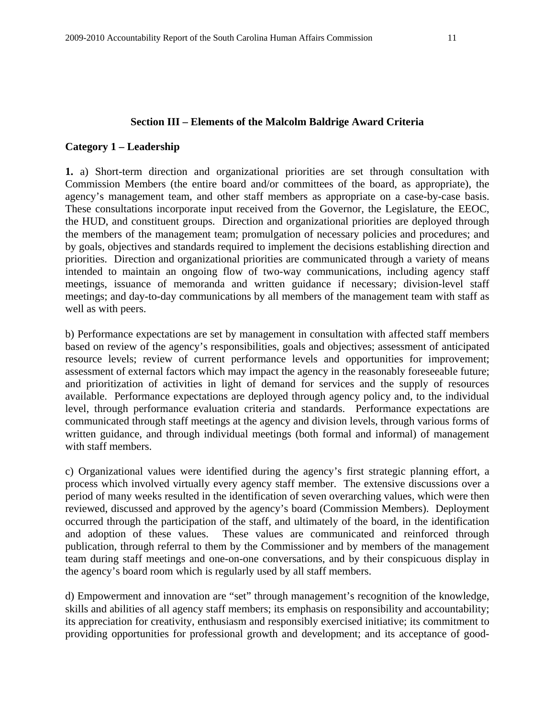#### **Section III – Elements of the Malcolm Baldrige Award Criteria**

#### **Category 1 – Leadership**

**1.** a) Short-term direction and organizational priorities are set through consultation with Commission Members (the entire board and/or committees of the board, as appropriate), the agency's management team, and other staff members as appropriate on a case-by-case basis. These consultations incorporate input received from the Governor, the Legislature, the EEOC, the HUD, and constituent groups. Direction and organizational priorities are deployed through the members of the management team; promulgation of necessary policies and procedures; and by goals, objectives and standards required to implement the decisions establishing direction and priorities. Direction and organizational priorities are communicated through a variety of means intended to maintain an ongoing flow of two-way communications, including agency staff meetings, issuance of memoranda and written guidance if necessary; division-level staff meetings; and day-to-day communications by all members of the management team with staff as well as with peers.

b) Performance expectations are set by management in consultation with affected staff members based on review of the agency's responsibilities, goals and objectives; assessment of anticipated resource levels; review of current performance levels and opportunities for improvement; assessment of external factors which may impact the agency in the reasonably foreseeable future; and prioritization of activities in light of demand for services and the supply of resources available. Performance expectations are deployed through agency policy and, to the individual level, through performance evaluation criteria and standards. Performance expectations are communicated through staff meetings at the agency and division levels, through various forms of written guidance, and through individual meetings (both formal and informal) of management with staff members.

c) Organizational values were identified during the agency's first strategic planning effort, a process which involved virtually every agency staff member. The extensive discussions over a period of many weeks resulted in the identification of seven overarching values, which were then reviewed, discussed and approved by the agency's board (Commission Members). Deployment occurred through the participation of the staff, and ultimately of the board, in the identification and adoption of these values. These values are communicated and reinforced through publication, through referral to them by the Commissioner and by members of the management team during staff meetings and one-on-one conversations, and by their conspicuous display in the agency's board room which is regularly used by all staff members.

d) Empowerment and innovation are "set" through management's recognition of the knowledge, skills and abilities of all agency staff members; its emphasis on responsibility and accountability; its appreciation for creativity, enthusiasm and responsibly exercised initiative; its commitment to providing opportunities for professional growth and development; and its acceptance of good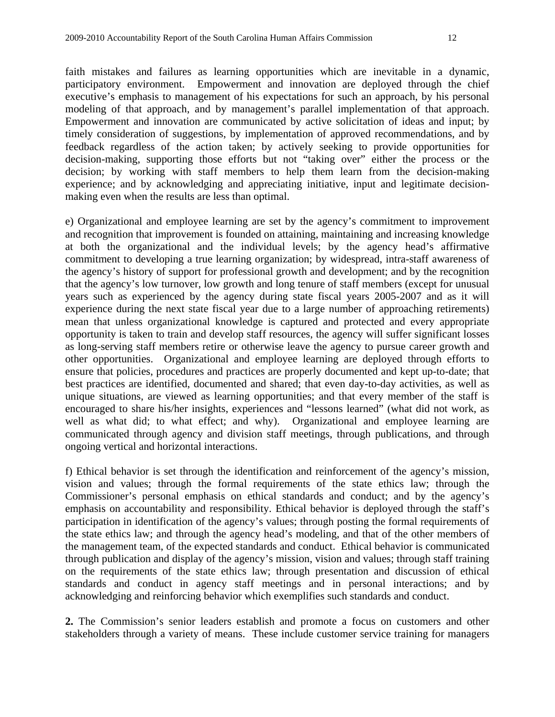faith mistakes and failures as learning opportunities which are inevitable in a dynamic, participatory environment. Empowerment and innovation are deployed through the chief executive's emphasis to management of his expectations for such an approach, by his personal modeling of that approach, and by management's parallel implementation of that approach. Empowerment and innovation are communicated by active solicitation of ideas and input; by timely consideration of suggestions, by implementation of approved recommendations, and by feedback regardless of the action taken; by actively seeking to provide opportunities for decision-making, supporting those efforts but not "taking over" either the process or the decision; by working with staff members to help them learn from the decision-making experience; and by acknowledging and appreciating initiative, input and legitimate decisionmaking even when the results are less than optimal.

e) Organizational and employee learning are set by the agency's commitment to improvement and recognition that improvement is founded on attaining, maintaining and increasing knowledge at both the organizational and the individual levels; by the agency head's affirmative commitment to developing a true learning organization; by widespread, intra-staff awareness of the agency's history of support for professional growth and development; and by the recognition that the agency's low turnover, low growth and long tenure of staff members (except for unusual years such as experienced by the agency during state fiscal years 2005-2007 and as it will experience during the next state fiscal year due to a large number of approaching retirements) mean that unless organizational knowledge is captured and protected and every appropriate opportunity is taken to train and develop staff resources, the agency will suffer significant losses as long-serving staff members retire or otherwise leave the agency to pursue career growth and other opportunities. Organizational and employee learning are deployed through efforts to ensure that policies, procedures and practices are properly documented and kept up-to-date; that best practices are identified, documented and shared; that even day-to-day activities, as well as unique situations, are viewed as learning opportunities; and that every member of the staff is encouraged to share his/her insights, experiences and "lessons learned" (what did not work, as well as what did; to what effect; and why). Organizational and employee learning are communicated through agency and division staff meetings, through publications, and through ongoing vertical and horizontal interactions.

f) Ethical behavior is set through the identification and reinforcement of the agency's mission, vision and values; through the formal requirements of the state ethics law; through the Commissioner's personal emphasis on ethical standards and conduct; and by the agency's emphasis on accountability and responsibility. Ethical behavior is deployed through the staff's participation in identification of the agency's values; through posting the formal requirements of the state ethics law; and through the agency head's modeling, and that of the other members of the management team, of the expected standards and conduct. Ethical behavior is communicated through publication and display of the agency's mission, vision and values; through staff training on the requirements of the state ethics law; through presentation and discussion of ethical standards and conduct in agency staff meetings and in personal interactions; and by acknowledging and reinforcing behavior which exemplifies such standards and conduct.

**2.** The Commission's senior leaders establish and promote a focus on customers and other stakeholders through a variety of means. These include customer service training for managers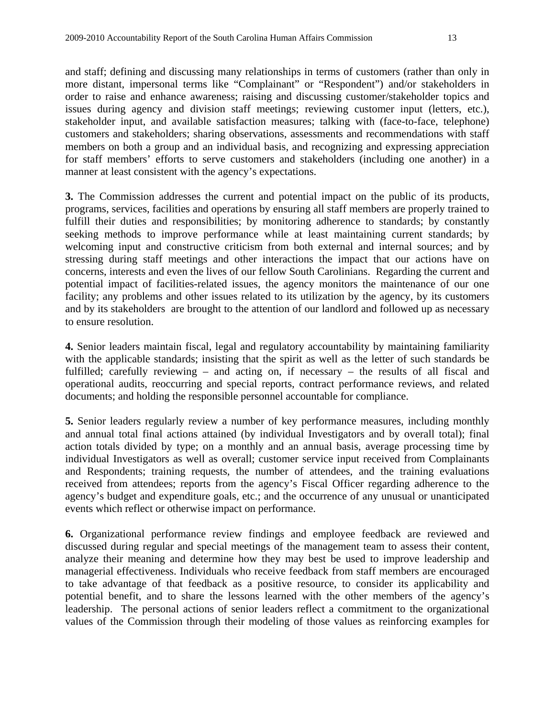and staff; defining and discussing many relationships in terms of customers (rather than only in more distant, impersonal terms like "Complainant" or "Respondent") and/or stakeholders in order to raise and enhance awareness; raising and discussing customer/stakeholder topics and issues during agency and division staff meetings; reviewing customer input (letters, etc.), stakeholder input, and available satisfaction measures; talking with (face-to-face, telephone) customers and stakeholders; sharing observations, assessments and recommendations with staff members on both a group and an individual basis, and recognizing and expressing appreciation for staff members' efforts to serve customers and stakeholders (including one another) in a manner at least consistent with the agency's expectations.

**3.** The Commission addresses the current and potential impact on the public of its products, programs, services, facilities and operations by ensuring all staff members are properly trained to fulfill their duties and responsibilities; by monitoring adherence to standards; by constantly seeking methods to improve performance while at least maintaining current standards; by welcoming input and constructive criticism from both external and internal sources; and by stressing during staff meetings and other interactions the impact that our actions have on concerns, interests and even the lives of our fellow South Carolinians. Regarding the current and potential impact of facilities-related issues, the agency monitors the maintenance of our one facility; any problems and other issues related to its utilization by the agency, by its customers and by its stakeholders are brought to the attention of our landlord and followed up as necessary to ensure resolution.

**4.** Senior leaders maintain fiscal, legal and regulatory accountability by maintaining familiarity with the applicable standards; insisting that the spirit as well as the letter of such standards be fulfilled; carefully reviewing – and acting on, if necessary – the results of all fiscal and operational audits, reoccurring and special reports, contract performance reviews, and related documents; and holding the responsible personnel accountable for compliance.

**5.** Senior leaders regularly review a number of key performance measures, including monthly and annual total final actions attained (by individual Investigators and by overall total); final action totals divided by type; on a monthly and an annual basis, average processing time by individual Investigators as well as overall; customer service input received from Complainants and Respondents; training requests, the number of attendees, and the training evaluations received from attendees; reports from the agency's Fiscal Officer regarding adherence to the agency's budget and expenditure goals, etc.; and the occurrence of any unusual or unanticipated events which reflect or otherwise impact on performance.

**6.** Organizational performance review findings and employee feedback are reviewed and discussed during regular and special meetings of the management team to assess their content, analyze their meaning and determine how they may best be used to improve leadership and managerial effectiveness. Individuals who receive feedback from staff members are encouraged to take advantage of that feedback as a positive resource, to consider its applicability and potential benefit, and to share the lessons learned with the other members of the agency's leadership. The personal actions of senior leaders reflect a commitment to the organizational values of the Commission through their modeling of those values as reinforcing examples for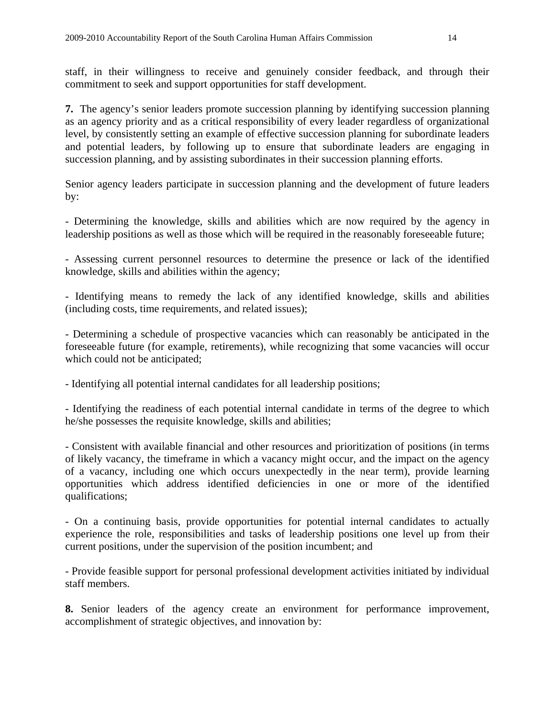staff, in their willingness to receive and genuinely consider feedback, and through their commitment to seek and support opportunities for staff development.

**7.** The agency's senior leaders promote succession planning by identifying succession planning as an agency priority and as a critical responsibility of every leader regardless of organizational level, by consistently setting an example of effective succession planning for subordinate leaders and potential leaders, by following up to ensure that subordinate leaders are engaging in succession planning, and by assisting subordinates in their succession planning efforts.

Senior agency leaders participate in succession planning and the development of future leaders by:

- Determining the knowledge, skills and abilities which are now required by the agency in leadership positions as well as those which will be required in the reasonably foreseeable future;

- Assessing current personnel resources to determine the presence or lack of the identified knowledge, skills and abilities within the agency;

- Identifying means to remedy the lack of any identified knowledge, skills and abilities (including costs, time requirements, and related issues);

- Determining a schedule of prospective vacancies which can reasonably be anticipated in the foreseeable future (for example, retirements), while recognizing that some vacancies will occur which could not be anticipated;

- Identifying all potential internal candidates for all leadership positions;

- Identifying the readiness of each potential internal candidate in terms of the degree to which he/she possesses the requisite knowledge, skills and abilities;

- Consistent with available financial and other resources and prioritization of positions (in terms of likely vacancy, the timeframe in which a vacancy might occur, and the impact on the agency of a vacancy, including one which occurs unexpectedly in the near term), provide learning opportunities which address identified deficiencies in one or more of the identified qualifications;

- On a continuing basis, provide opportunities for potential internal candidates to actually experience the role, responsibilities and tasks of leadership positions one level up from their current positions, under the supervision of the position incumbent; and

- Provide feasible support for personal professional development activities initiated by individual staff members.

**8.** Senior leaders of the agency create an environment for performance improvement, accomplishment of strategic objectives, and innovation by: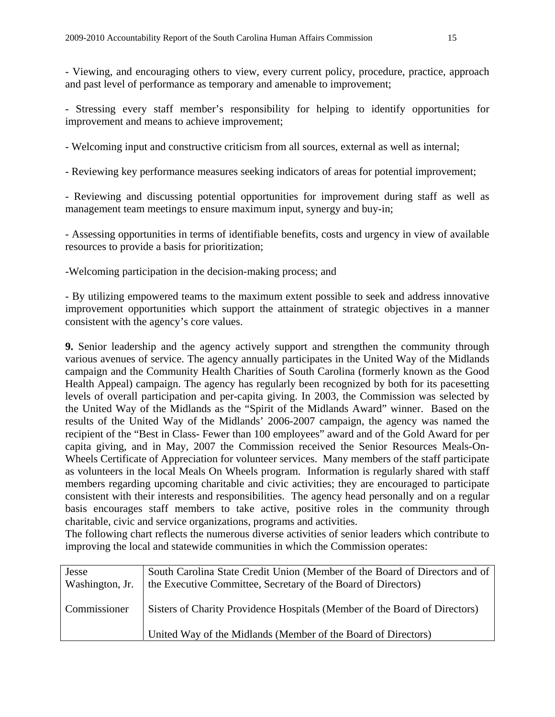- Viewing, and encouraging others to view, every current policy, procedure, practice, approach and past level of performance as temporary and amenable to improvement;

- Stressing every staff member's responsibility for helping to identify opportunities for improvement and means to achieve improvement;

- Welcoming input and constructive criticism from all sources, external as well as internal;

- Reviewing key performance measures seeking indicators of areas for potential improvement;

- Reviewing and discussing potential opportunities for improvement during staff as well as management team meetings to ensure maximum input, synergy and buy-in;

- Assessing opportunities in terms of identifiable benefits, costs and urgency in view of available resources to provide a basis for prioritization;

-Welcoming participation in the decision-making process; and

- By utilizing empowered teams to the maximum extent possible to seek and address innovative improvement opportunities which support the attainment of strategic objectives in a manner consistent with the agency's core values.

**9.** Senior leadership and the agency actively support and strengthen the community through various avenues of service. The agency annually participates in the United Way of the Midlands campaign and the Community Health Charities of South Carolina (formerly known as the Good Health Appeal) campaign. The agency has regularly been recognized by both for its pacesetting levels of overall participation and per-capita giving. In 2003, the Commission was selected by the United Way of the Midlands as the "Spirit of the Midlands Award" winner. Based on the results of the United Way of the Midlands' 2006-2007 campaign, the agency was named the recipient of the "Best in Class- Fewer than 100 employees" award and of the Gold Award for per capita giving, and in May, 2007 the Commission received the Senior Resources Meals-On-Wheels Certificate of Appreciation for volunteer services. Many members of the staff participate as volunteers in the local Meals On Wheels program. Information is regularly shared with staff members regarding upcoming charitable and civic activities; they are encouraged to participate consistent with their interests and responsibilities. The agency head personally and on a regular basis encourages staff members to take active, positive roles in the community through charitable, civic and service organizations, programs and activities.

The following chart reflects the numerous diverse activities of senior leaders which contribute to improving the local and statewide communities in which the Commission operates:

| Jesse<br>Washington, Jr. | South Carolina State Credit Union (Member of the Board of Directors and of<br>the Executive Committee, Secretary of the Board of Directors) |
|--------------------------|---------------------------------------------------------------------------------------------------------------------------------------------|
| Commissioner             | Sisters of Charity Providence Hospitals (Member of the Board of Directors)                                                                  |
|                          | United Way of the Midlands (Member of the Board of Directors)                                                                               |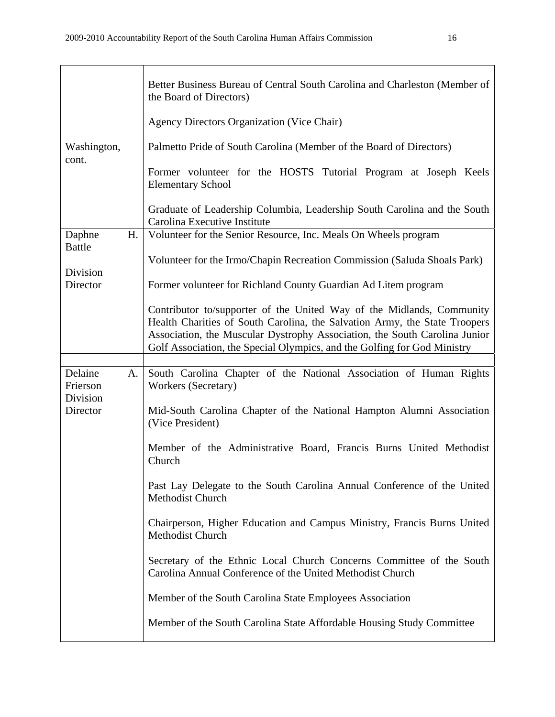|                                       | Better Business Bureau of Central South Carolina and Charleston (Member of<br>the Board of Directors)<br>Agency Directors Organization (Vice Chair)                                                                                                                                                           |
|---------------------------------------|---------------------------------------------------------------------------------------------------------------------------------------------------------------------------------------------------------------------------------------------------------------------------------------------------------------|
| Washington,<br>cont.                  | Palmetto Pride of South Carolina (Member of the Board of Directors)                                                                                                                                                                                                                                           |
|                                       | Former volunteer for the HOSTS Tutorial Program at Joseph Keels<br><b>Elementary School</b>                                                                                                                                                                                                                   |
|                                       | Graduate of Leadership Columbia, Leadership South Carolina and the South<br>Carolina Executive Institute                                                                                                                                                                                                      |
| Daphne                                | H.<br>Volunteer for the Senior Resource, Inc. Meals On Wheels program                                                                                                                                                                                                                                         |
| <b>Battle</b><br>Division             | Volunteer for the Irmo/Chapin Recreation Commission (Saluda Shoals Park)                                                                                                                                                                                                                                      |
| Director                              | Former volunteer for Richland County Guardian Ad Litem program                                                                                                                                                                                                                                                |
|                                       | Contributor to/supporter of the United Way of the Midlands, Community<br>Health Charities of South Carolina, the Salvation Army, the State Troopers<br>Association, the Muscular Dystrophy Association, the South Carolina Junior<br>Golf Association, the Special Olympics, and the Golfing for God Ministry |
|                                       |                                                                                                                                                                                                                                                                                                               |
| Delaine<br>A.<br>Frierson<br>Division | South Carolina Chapter of the National Association of Human Rights<br>Workers (Secretary)                                                                                                                                                                                                                     |
| Director                              | Mid-South Carolina Chapter of the National Hampton Alumni Association<br>(Vice President)                                                                                                                                                                                                                     |
|                                       | Member of the Administrative Board, Francis Burns United Methodist<br>Church                                                                                                                                                                                                                                  |
|                                       | Past Lay Delegate to the South Carolina Annual Conference of the United<br>Methodist Church                                                                                                                                                                                                                   |
|                                       | Chairperson, Higher Education and Campus Ministry, Francis Burns United<br>Methodist Church                                                                                                                                                                                                                   |
|                                       | Secretary of the Ethnic Local Church Concerns Committee of the South<br>Carolina Annual Conference of the United Methodist Church                                                                                                                                                                             |
|                                       | Member of the South Carolina State Employees Association                                                                                                                                                                                                                                                      |
|                                       | Member of the South Carolina State Affordable Housing Study Committee                                                                                                                                                                                                                                         |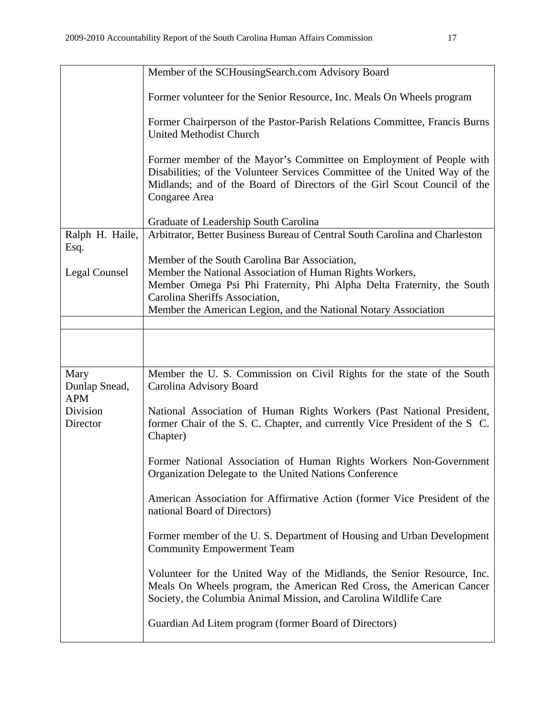|                                     | Member of the SCHousingSearch.com Advisory Board                                                                                                                                                                                                                                         |  |  |  |  |
|-------------------------------------|------------------------------------------------------------------------------------------------------------------------------------------------------------------------------------------------------------------------------------------------------------------------------------------|--|--|--|--|
|                                     | Former volunteer for the Senior Resource, Inc. Meals On Wheels program                                                                                                                                                                                                                   |  |  |  |  |
|                                     | Former Chairperson of the Pastor-Parish Relations Committee, Francis Burns<br>United Methodist Church                                                                                                                                                                                    |  |  |  |  |
|                                     | Former member of the Mayor's Committee on Employment of People with<br>Disabilities; of the Volunteer Services Committee of the United Way of the<br>Midlands; and of the Board of Directors of the Girl Scout Council of the<br>Congaree Area                                           |  |  |  |  |
|                                     | Graduate of Leadership South Carolina                                                                                                                                                                                                                                                    |  |  |  |  |
| Ralph H. Haile,                     | Arbitrator, Better Business Bureau of Central South Carolina and Charleston                                                                                                                                                                                                              |  |  |  |  |
| Esq.<br>Legal Counsel               | Member of the South Carolina Bar Association,<br>Member the National Association of Human Rights Workers,<br>Member Omega Psi Phi Fraternity, Phi Alpha Delta Fraternity, the South<br>Carolina Sheriffs Association,<br>Member the American Legion, and the National Notary Association |  |  |  |  |
|                                     |                                                                                                                                                                                                                                                                                          |  |  |  |  |
|                                     |                                                                                                                                                                                                                                                                                          |  |  |  |  |
| Mary<br>Dunlap Snead,<br><b>APM</b> | Member the U. S. Commission on Civil Rights for the state of the South<br>Carolina Advisory Board                                                                                                                                                                                        |  |  |  |  |
| Division<br>Director                | National Association of Human Rights Workers (Past National President,<br>former Chair of the S. C. Chapter, and currently Vice President of the S. C.<br>Chapter)                                                                                                                       |  |  |  |  |
|                                     | Former National Association of Human Rights Workers Non-Government<br>Organization Delegate to the United Nations Conference                                                                                                                                                             |  |  |  |  |
|                                     | American Association for Affirmative Action (former Vice President of the<br>national Board of Directors)                                                                                                                                                                                |  |  |  |  |
|                                     | Former member of the U.S. Department of Housing and Urban Development<br><b>Community Empowerment Team</b>                                                                                                                                                                               |  |  |  |  |
|                                     | Volunteer for the United Way of the Midlands, the Senior Resource, Inc.<br>Meals On Wheels program, the American Red Cross, the American Cancer<br>Society, the Columbia Animal Mission, and Carolina Wildlife Care                                                                      |  |  |  |  |
|                                     | Guardian Ad Litem program (former Board of Directors)                                                                                                                                                                                                                                    |  |  |  |  |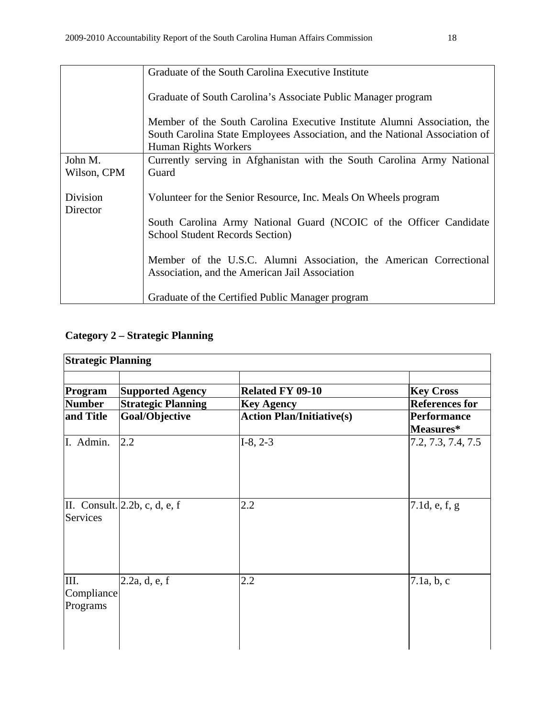|             | Graduate of the South Carolina Executive Institute                          |  |  |  |  |
|-------------|-----------------------------------------------------------------------------|--|--|--|--|
|             | Graduate of South Carolina's Associate Public Manager program               |  |  |  |  |
|             |                                                                             |  |  |  |  |
|             | Member of the South Carolina Executive Institute Alumni Association, the    |  |  |  |  |
|             | South Carolina State Employees Association, and the National Association of |  |  |  |  |
|             | Human Rights Workers                                                        |  |  |  |  |
| John M.     | Currently serving in Afghanistan with the South Carolina Army National      |  |  |  |  |
| Wilson, CPM | Guard                                                                       |  |  |  |  |
|             |                                                                             |  |  |  |  |
| Division    | Volunteer for the Senior Resource, Inc. Meals On Wheels program             |  |  |  |  |
| Director    |                                                                             |  |  |  |  |
|             | South Carolina Army National Guard (NCOIC of the Officer Candidate          |  |  |  |  |
|             | <b>School Student Records Section</b> )                                     |  |  |  |  |
|             |                                                                             |  |  |  |  |
|             |                                                                             |  |  |  |  |
|             | Member of the U.S.C. Alumni Association, the American Correctional          |  |  |  |  |
|             | Association, and the American Jail Association                              |  |  |  |  |
|             |                                                                             |  |  |  |  |
|             | Graduate of the Certified Public Manager program                            |  |  |  |  |

# **Category 2 – Strategic Planning**

| <b>Strategic Planning</b>      |                                                      |                                              |                                           |  |
|--------------------------------|------------------------------------------------------|----------------------------------------------|-------------------------------------------|--|
| Program<br><b>Number</b>       | <b>Supported Agency</b><br><b>Strategic Planning</b> | <b>Related FY 09-10</b><br><b>Key Agency</b> | <b>Key Cross</b><br><b>References for</b> |  |
| and Title                      | Goal/Objective                                       | <b>Action Plan/Initiative(s)</b>             | <b>Performance</b><br>Measures*           |  |
| I. Admin.                      | 2.2                                                  | $I-8, 2-3$                                   | 7.2, 7.3, 7.4, 7.5                        |  |
| Services                       | II. Consult. $ 2.2b, c, d, e, f$                     | 2.2                                          | 7.1d, e, $f, g$                           |  |
| III.<br>Compliance<br>Programs | 2.2a, d, e, f                                        | 2.2                                          | 7.1a, b, c                                |  |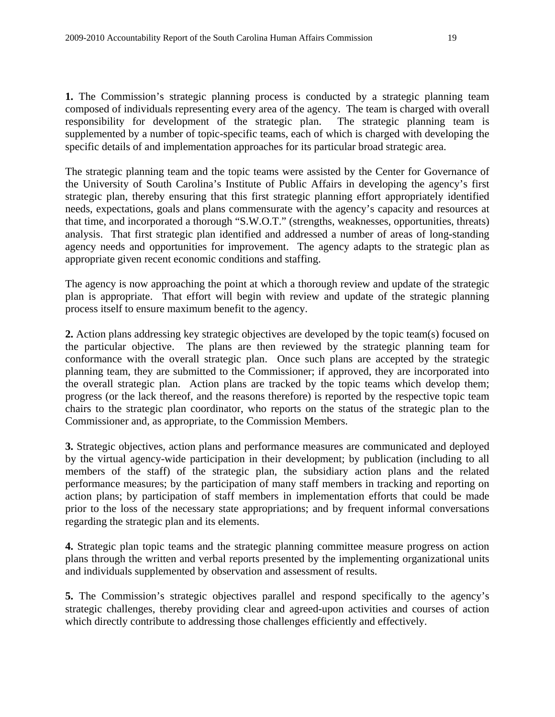**1.** The Commission's strategic planning process is conducted by a strategic planning team composed of individuals representing every area of the agency. The team is charged with overall responsibility for development of the strategic plan. The strategic planning team is supplemented by a number of topic-specific teams, each of which is charged with developing the specific details of and implementation approaches for its particular broad strategic area.

The strategic planning team and the topic teams were assisted by the Center for Governance of the University of South Carolina's Institute of Public Affairs in developing the agency's first strategic plan, thereby ensuring that this first strategic planning effort appropriately identified needs, expectations, goals and plans commensurate with the agency's capacity and resources at that time, and incorporated a thorough "S.W.O.T." (strengths, weaknesses, opportunities, threats) analysis. That first strategic plan identified and addressed a number of areas of long-standing agency needs and opportunities for improvement. The agency adapts to the strategic plan as appropriate given recent economic conditions and staffing.

The agency is now approaching the point at which a thorough review and update of the strategic plan is appropriate. That effort will begin with review and update of the strategic planning process itself to ensure maximum benefit to the agency.

**2.** Action plans addressing key strategic objectives are developed by the topic team(s) focused on the particular objective. The plans are then reviewed by the strategic planning team for conformance with the overall strategic plan. Once such plans are accepted by the strategic planning team, they are submitted to the Commissioner; if approved, they are incorporated into the overall strategic plan. Action plans are tracked by the topic teams which develop them; progress (or the lack thereof, and the reasons therefore) is reported by the respective topic team chairs to the strategic plan coordinator, who reports on the status of the strategic plan to the Commissioner and, as appropriate, to the Commission Members.

**3.** Strategic objectives, action plans and performance measures are communicated and deployed by the virtual agency-wide participation in their development; by publication (including to all members of the staff) of the strategic plan, the subsidiary action plans and the related performance measures; by the participation of many staff members in tracking and reporting on action plans; by participation of staff members in implementation efforts that could be made prior to the loss of the necessary state appropriations; and by frequent informal conversations regarding the strategic plan and its elements.

**4.** Strategic plan topic teams and the strategic planning committee measure progress on action plans through the written and verbal reports presented by the implementing organizational units and individuals supplemented by observation and assessment of results.

**5.** The Commission's strategic objectives parallel and respond specifically to the agency's strategic challenges, thereby providing clear and agreed-upon activities and courses of action which directly contribute to addressing those challenges efficiently and effectively.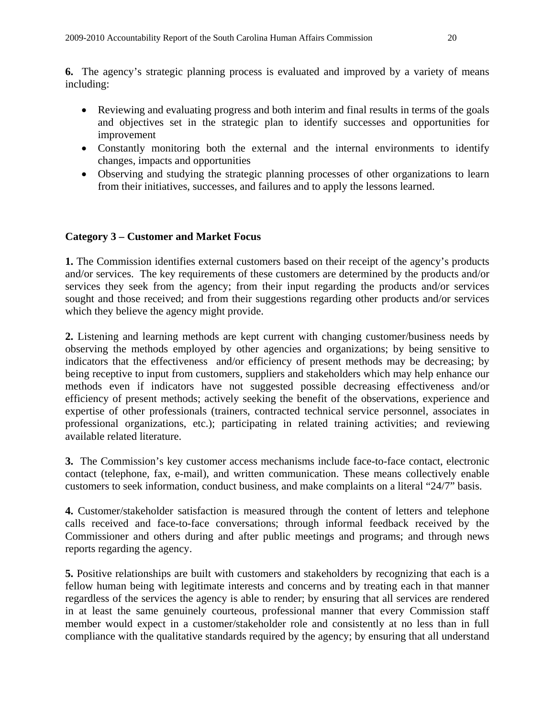**6.** The agency's strategic planning process is evaluated and improved by a variety of means including:

- Reviewing and evaluating progress and both interim and final results in terms of the goals and objectives set in the strategic plan to identify successes and opportunities for improvement
- Constantly monitoring both the external and the internal environments to identify changes, impacts and opportunities
- Observing and studying the strategic planning processes of other organizations to learn from their initiatives, successes, and failures and to apply the lessons learned.

# **Category 3 – Customer and Market Focus**

**1.** The Commission identifies external customers based on their receipt of the agency's products and/or services. The key requirements of these customers are determined by the products and/or services they seek from the agency; from their input regarding the products and/or services sought and those received; and from their suggestions regarding other products and/or services which they believe the agency might provide.

**2.** Listening and learning methods are kept current with changing customer/business needs by observing the methods employed by other agencies and organizations; by being sensitive to indicators that the effectiveness and/or efficiency of present methods may be decreasing; by being receptive to input from customers, suppliers and stakeholders which may help enhance our methods even if indicators have not suggested possible decreasing effectiveness and/or efficiency of present methods; actively seeking the benefit of the observations, experience and expertise of other professionals (trainers, contracted technical service personnel, associates in professional organizations, etc.); participating in related training activities; and reviewing available related literature.

**3.** The Commission's key customer access mechanisms include face-to-face contact, electronic contact (telephone, fax, e-mail), and written communication. These means collectively enable customers to seek information, conduct business, and make complaints on a literal "24/7" basis.

**4.** Customer/stakeholder satisfaction is measured through the content of letters and telephone calls received and face-to-face conversations; through informal feedback received by the Commissioner and others during and after public meetings and programs; and through news reports regarding the agency.

**5.** Positive relationships are built with customers and stakeholders by recognizing that each is a fellow human being with legitimate interests and concerns and by treating each in that manner regardless of the services the agency is able to render; by ensuring that all services are rendered in at least the same genuinely courteous, professional manner that every Commission staff member would expect in a customer/stakeholder role and consistently at no less than in full compliance with the qualitative standards required by the agency; by ensuring that all understand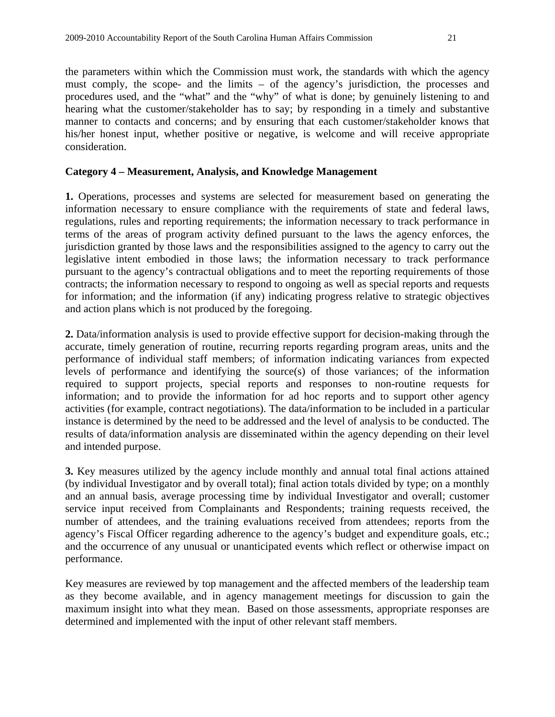the parameters within which the Commission must work, the standards with which the agency must comply, the scope- and the limits – of the agency's jurisdiction, the processes and procedures used, and the "what" and the "why" of what is done; by genuinely listening to and hearing what the customer/stakeholder has to say; by responding in a timely and substantive manner to contacts and concerns; and by ensuring that each customer/stakeholder knows that his/her honest input, whether positive or negative, is welcome and will receive appropriate consideration.

## **Category 4 – Measurement, Analysis, and Knowledge Management**

**1.** Operations, processes and systems are selected for measurement based on generating the information necessary to ensure compliance with the requirements of state and federal laws, regulations, rules and reporting requirements; the information necessary to track performance in terms of the areas of program activity defined pursuant to the laws the agency enforces, the jurisdiction granted by those laws and the responsibilities assigned to the agency to carry out the legislative intent embodied in those laws; the information necessary to track performance pursuant to the agency's contractual obligations and to meet the reporting requirements of those contracts; the information necessary to respond to ongoing as well as special reports and requests for information; and the information (if any) indicating progress relative to strategic objectives and action plans which is not produced by the foregoing.

**2.** Data/information analysis is used to provide effective support for decision-making through the accurate, timely generation of routine, recurring reports regarding program areas, units and the performance of individual staff members; of information indicating variances from expected levels of performance and identifying the source(s) of those variances; of the information required to support projects, special reports and responses to non-routine requests for information; and to provide the information for ad hoc reports and to support other agency activities (for example, contract negotiations). The data/information to be included in a particular instance is determined by the need to be addressed and the level of analysis to be conducted. The results of data/information analysis are disseminated within the agency depending on their level and intended purpose.

**3.** Key measures utilized by the agency include monthly and annual total final actions attained (by individual Investigator and by overall total); final action totals divided by type; on a monthly and an annual basis, average processing time by individual Investigator and overall; customer service input received from Complainants and Respondents; training requests received, the number of attendees, and the training evaluations received from attendees; reports from the agency's Fiscal Officer regarding adherence to the agency's budget and expenditure goals, etc.; and the occurrence of any unusual or unanticipated events which reflect or otherwise impact on performance.

Key measures are reviewed by top management and the affected members of the leadership team as they become available, and in agency management meetings for discussion to gain the maximum insight into what they mean. Based on those assessments, appropriate responses are determined and implemented with the input of other relevant staff members.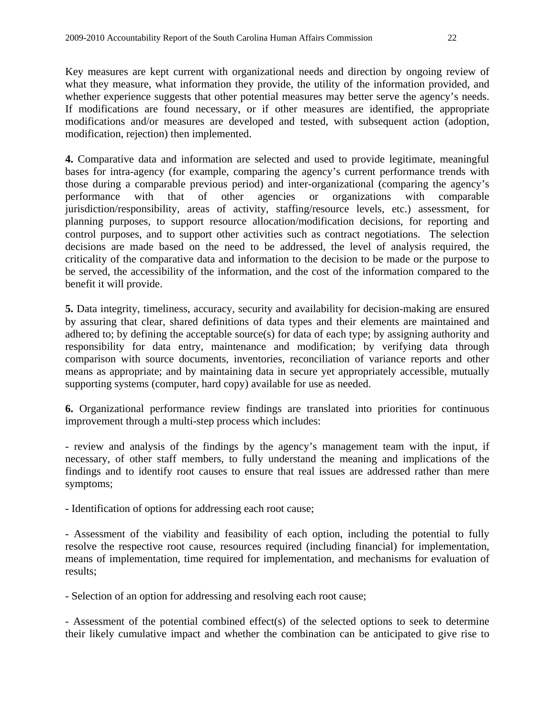Key measures are kept current with organizational needs and direction by ongoing review of what they measure, what information they provide, the utility of the information provided, and whether experience suggests that other potential measures may better serve the agency's needs. If modifications are found necessary, or if other measures are identified, the appropriate modifications and/or measures are developed and tested, with subsequent action (adoption, modification, rejection) then implemented.

**4.** Comparative data and information are selected and used to provide legitimate, meaningful bases for intra-agency (for example, comparing the agency's current performance trends with those during a comparable previous period) and inter-organizational (comparing the agency's performance with that of other agencies or organizations with comparable jurisdiction/responsibility, areas of activity, staffing/resource levels, etc.) assessment, for planning purposes, to support resource allocation/modification decisions, for reporting and control purposes, and to support other activities such as contract negotiations. The selection decisions are made based on the need to be addressed, the level of analysis required, the criticality of the comparative data and information to the decision to be made or the purpose to be served, the accessibility of the information, and the cost of the information compared to the benefit it will provide.

**5.** Data integrity, timeliness, accuracy, security and availability for decision-making are ensured by assuring that clear, shared definitions of data types and their elements are maintained and adhered to; by defining the acceptable source(s) for data of each type; by assigning authority and responsibility for data entry, maintenance and modification; by verifying data through comparison with source documents, inventories, reconciliation of variance reports and other means as appropriate; and by maintaining data in secure yet appropriately accessible, mutually supporting systems (computer, hard copy) available for use as needed.

**6.** Organizational performance review findings are translated into priorities for continuous improvement through a multi-step process which includes:

- review and analysis of the findings by the agency's management team with the input, if necessary, of other staff members, to fully understand the meaning and implications of the findings and to identify root causes to ensure that real issues are addressed rather than mere symptoms;

- Identification of options for addressing each root cause;

- Assessment of the viability and feasibility of each option, including the potential to fully resolve the respective root cause, resources required (including financial) for implementation, means of implementation, time required for implementation, and mechanisms for evaluation of results;

- Selection of an option for addressing and resolving each root cause;

- Assessment of the potential combined effect(s) of the selected options to seek to determine their likely cumulative impact and whether the combination can be anticipated to give rise to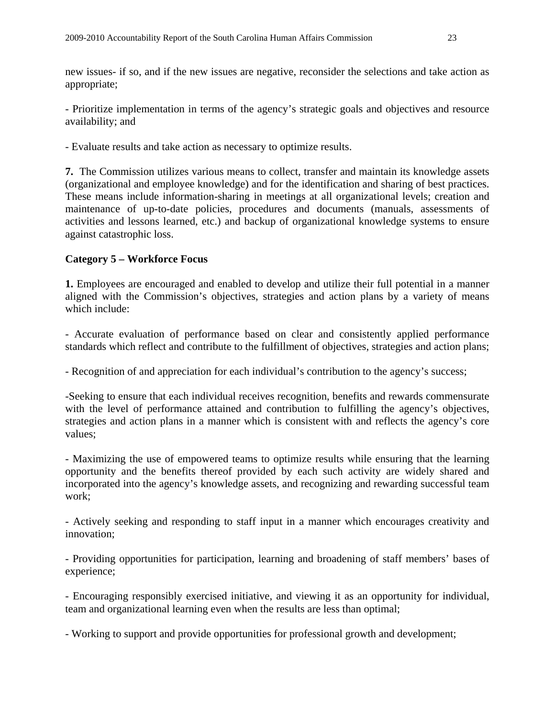new issues- if so, and if the new issues are negative, reconsider the selections and take action as appropriate;

- Prioritize implementation in terms of the agency's strategic goals and objectives and resource availability; and

- Evaluate results and take action as necessary to optimize results.

**7.** The Commission utilizes various means to collect, transfer and maintain its knowledge assets (organizational and employee knowledge) and for the identification and sharing of best practices. These means include information-sharing in meetings at all organizational levels; creation and maintenance of up-to-date policies, procedures and documents (manuals, assessments of activities and lessons learned, etc.) and backup of organizational knowledge systems to ensure against catastrophic loss.

# **Category 5 – Workforce Focus**

**1.** Employees are encouraged and enabled to develop and utilize their full potential in a manner aligned with the Commission's objectives, strategies and action plans by a variety of means which include:

- Accurate evaluation of performance based on clear and consistently applied performance standards which reflect and contribute to the fulfillment of objectives, strategies and action plans;

- Recognition of and appreciation for each individual's contribution to the agency's success;

-Seeking to ensure that each individual receives recognition, benefits and rewards commensurate with the level of performance attained and contribution to fulfilling the agency's objectives, strategies and action plans in a manner which is consistent with and reflects the agency's core values;

- Maximizing the use of empowered teams to optimize results while ensuring that the learning opportunity and the benefits thereof provided by each such activity are widely shared and incorporated into the agency's knowledge assets, and recognizing and rewarding successful team work;

- Actively seeking and responding to staff input in a manner which encourages creativity and innovation;

- Providing opportunities for participation, learning and broadening of staff members' bases of experience;

- Encouraging responsibly exercised initiative, and viewing it as an opportunity for individual, team and organizational learning even when the results are less than optimal;

- Working to support and provide opportunities for professional growth and development;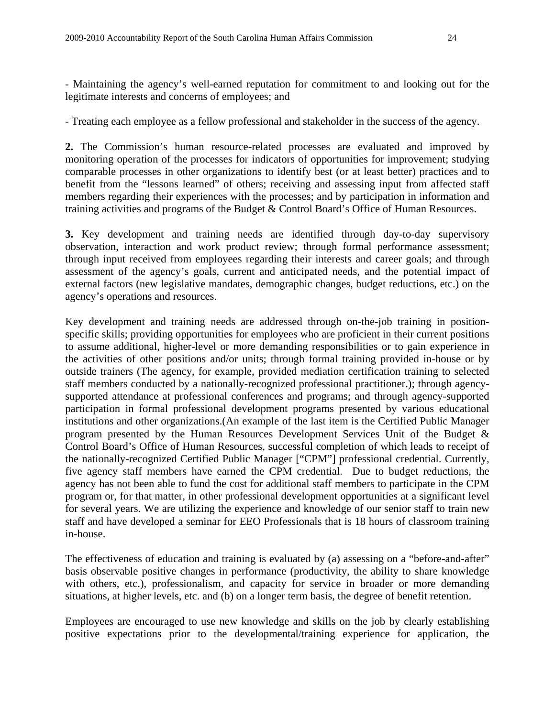- Maintaining the agency's well-earned reputation for commitment to and looking out for the legitimate interests and concerns of employees; and

- Treating each employee as a fellow professional and stakeholder in the success of the agency.

**2.** The Commission's human resource-related processes are evaluated and improved by monitoring operation of the processes for indicators of opportunities for improvement; studying comparable processes in other organizations to identify best (or at least better) practices and to benefit from the "lessons learned" of others; receiving and assessing input from affected staff members regarding their experiences with the processes; and by participation in information and training activities and programs of the Budget & Control Board's Office of Human Resources.

**3.** Key development and training needs are identified through day-to-day supervisory observation, interaction and work product review; through formal performance assessment; through input received from employees regarding their interests and career goals; and through assessment of the agency's goals, current and anticipated needs, and the potential impact of external factors (new legislative mandates, demographic changes, budget reductions, etc.) on the agency's operations and resources.

Key development and training needs are addressed through on-the-job training in positionspecific skills; providing opportunities for employees who are proficient in their current positions to assume additional, higher-level or more demanding responsibilities or to gain experience in the activities of other positions and/or units; through formal training provided in-house or by outside trainers (The agency, for example, provided mediation certification training to selected staff members conducted by a nationally-recognized professional practitioner.); through agencysupported attendance at professional conferences and programs; and through agency-supported participation in formal professional development programs presented by various educational institutions and other organizations.(An example of the last item is the Certified Public Manager program presented by the Human Resources Development Services Unit of the Budget & Control Board's Office of Human Resources, successful completion of which leads to receipt of the nationally-recognized Certified Public Manager ["CPM"] professional credential. Currently, five agency staff members have earned the CPM credential. Due to budget reductions, the agency has not been able to fund the cost for additional staff members to participate in the CPM program or, for that matter, in other professional development opportunities at a significant level for several years. We are utilizing the experience and knowledge of our senior staff to train new staff and have developed a seminar for EEO Professionals that is 18 hours of classroom training in-house.

The effectiveness of education and training is evaluated by (a) assessing on a "before-and-after" basis observable positive changes in performance (productivity, the ability to share knowledge with others, etc.), professionalism, and capacity for service in broader or more demanding situations, at higher levels, etc. and (b) on a longer term basis, the degree of benefit retention.

Employees are encouraged to use new knowledge and skills on the job by clearly establishing positive expectations prior to the developmental/training experience for application, the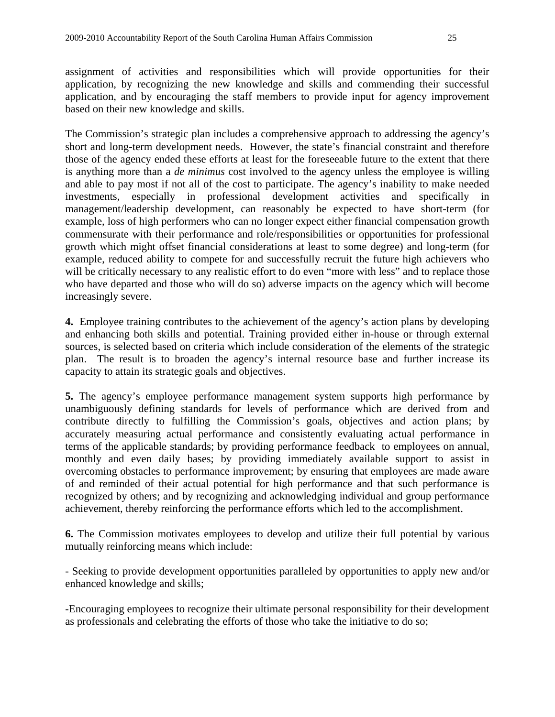based on their new knowledge and skills.

assignment of activities and responsibilities which will provide opportunities for their application, by recognizing the new knowledge and skills and commending their successful application, and by encouraging the staff members to provide input for agency improvement

The Commission's strategic plan includes a comprehensive approach to addressing the agency's short and long-term development needs. However, the state's financial constraint and therefore those of the agency ended these efforts at least for the foreseeable future to the extent that there is anything more than a *de minimus* cost involved to the agency unless the employee is willing and able to pay most if not all of the cost to participate. The agency's inability to make needed investments, especially in professional development activities and specifically in management/leadership development, can reasonably be expected to have short-term (for example, loss of high performers who can no longer expect either financial compensation growth commensurate with their performance and role/responsibilities or opportunities for professional growth which might offset financial considerations at least to some degree) and long-term (for example, reduced ability to compete for and successfully recruit the future high achievers who will be critically necessary to any realistic effort to do even "more with less" and to replace those who have departed and those who will do so) adverse impacts on the agency which will become increasingly severe.

**4.** Employee training contributes to the achievement of the agency's action plans by developing and enhancing both skills and potential. Training provided either in-house or through external sources, is selected based on criteria which include consideration of the elements of the strategic plan. The result is to broaden the agency's internal resource base and further increase its capacity to attain its strategic goals and objectives.

**5.** The agency's employee performance management system supports high performance by unambiguously defining standards for levels of performance which are derived from and contribute directly to fulfilling the Commission's goals, objectives and action plans; by accurately measuring actual performance and consistently evaluating actual performance in terms of the applicable standards; by providing performance feedback to employees on annual, monthly and even daily bases; by providing immediately available support to assist in overcoming obstacles to performance improvement; by ensuring that employees are made aware of and reminded of their actual potential for high performance and that such performance is recognized by others; and by recognizing and acknowledging individual and group performance achievement, thereby reinforcing the performance efforts which led to the accomplishment.

**6.** The Commission motivates employees to develop and utilize their full potential by various mutually reinforcing means which include:

- Seeking to provide development opportunities paralleled by opportunities to apply new and/or enhanced knowledge and skills;

-Encouraging employees to recognize their ultimate personal responsibility for their development as professionals and celebrating the efforts of those who take the initiative to do so;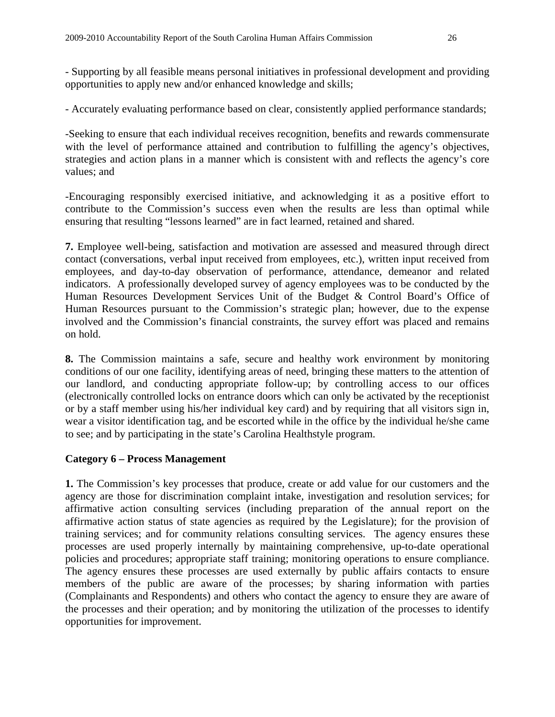- Supporting by all feasible means personal initiatives in professional development and providing opportunities to apply new and/or enhanced knowledge and skills;

- Accurately evaluating performance based on clear, consistently applied performance standards;

-Seeking to ensure that each individual receives recognition, benefits and rewards commensurate with the level of performance attained and contribution to fulfilling the agency's objectives, strategies and action plans in a manner which is consistent with and reflects the agency's core values; and

-Encouraging responsibly exercised initiative, and acknowledging it as a positive effort to contribute to the Commission's success even when the results are less than optimal while ensuring that resulting "lessons learned" are in fact learned, retained and shared.

**7.** Employee well-being, satisfaction and motivation are assessed and measured through direct contact (conversations, verbal input received from employees, etc.), written input received from employees, and day-to-day observation of performance, attendance, demeanor and related indicators. A professionally developed survey of agency employees was to be conducted by the Human Resources Development Services Unit of the Budget & Control Board's Office of Human Resources pursuant to the Commission's strategic plan; however, due to the expense involved and the Commission's financial constraints, the survey effort was placed and remains on hold.

**8.** The Commission maintains a safe, secure and healthy work environment by monitoring conditions of our one facility, identifying areas of need, bringing these matters to the attention of our landlord, and conducting appropriate follow-up; by controlling access to our offices (electronically controlled locks on entrance doors which can only be activated by the receptionist or by a staff member using his/her individual key card) and by requiring that all visitors sign in, wear a visitor identification tag, and be escorted while in the office by the individual he/she came to see; and by participating in the state's Carolina Healthstyle program.

## **Category 6 – Process Management**

**1.** The Commission's key processes that produce, create or add value for our customers and the agency are those for discrimination complaint intake, investigation and resolution services; for affirmative action consulting services (including preparation of the annual report on the affirmative action status of state agencies as required by the Legislature); for the provision of training services; and for community relations consulting services. The agency ensures these processes are used properly internally by maintaining comprehensive, up-to-date operational policies and procedures; appropriate staff training; monitoring operations to ensure compliance. The agency ensures these processes are used externally by public affairs contacts to ensure members of the public are aware of the processes; by sharing information with parties (Complainants and Respondents) and others who contact the agency to ensure they are aware of the processes and their operation; and by monitoring the utilization of the processes to identify opportunities for improvement.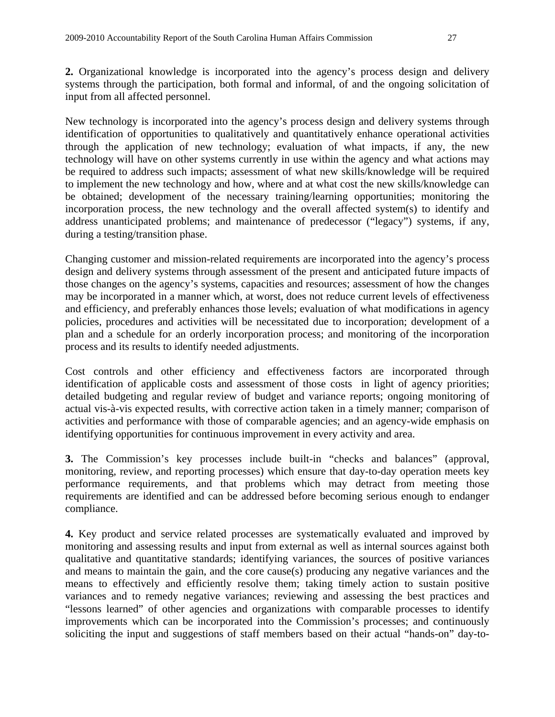input from all affected personnel.

**2.** Organizational knowledge is incorporated into the agency's process design and delivery systems through the participation, both formal and informal, of and the ongoing solicitation of

New technology is incorporated into the agency's process design and delivery systems through identification of opportunities to qualitatively and quantitatively enhance operational activities through the application of new technology; evaluation of what impacts, if any, the new technology will have on other systems currently in use within the agency and what actions may be required to address such impacts; assessment of what new skills/knowledge will be required to implement the new technology and how, where and at what cost the new skills/knowledge can be obtained; development of the necessary training/learning opportunities; monitoring the incorporation process, the new technology and the overall affected system(s) to identify and address unanticipated problems; and maintenance of predecessor ("legacy") systems, if any, during a testing/transition phase.

Changing customer and mission-related requirements are incorporated into the agency's process design and delivery systems through assessment of the present and anticipated future impacts of those changes on the agency's systems, capacities and resources; assessment of how the changes may be incorporated in a manner which, at worst, does not reduce current levels of effectiveness and efficiency, and preferably enhances those levels; evaluation of what modifications in agency policies, procedures and activities will be necessitated due to incorporation; development of a plan and a schedule for an orderly incorporation process; and monitoring of the incorporation process and its results to identify needed adjustments.

Cost controls and other efficiency and effectiveness factors are incorporated through identification of applicable costs and assessment of those costs in light of agency priorities; detailed budgeting and regular review of budget and variance reports; ongoing monitoring of actual vis-à-vis expected results, with corrective action taken in a timely manner; comparison of activities and performance with those of comparable agencies; and an agency-wide emphasis on identifying opportunities for continuous improvement in every activity and area.

**3.** The Commission's key processes include built-in "checks and balances" (approval, monitoring, review, and reporting processes) which ensure that day-to-day operation meets key performance requirements, and that problems which may detract from meeting those requirements are identified and can be addressed before becoming serious enough to endanger compliance.

**4.** Key product and service related processes are systematically evaluated and improved by monitoring and assessing results and input from external as well as internal sources against both qualitative and quantitative standards; identifying variances, the sources of positive variances and means to maintain the gain, and the core cause(s) producing any negative variances and the means to effectively and efficiently resolve them; taking timely action to sustain positive variances and to remedy negative variances; reviewing and assessing the best practices and "lessons learned" of other agencies and organizations with comparable processes to identify improvements which can be incorporated into the Commission's processes; and continuously soliciting the input and suggestions of staff members based on their actual "hands-on" day-to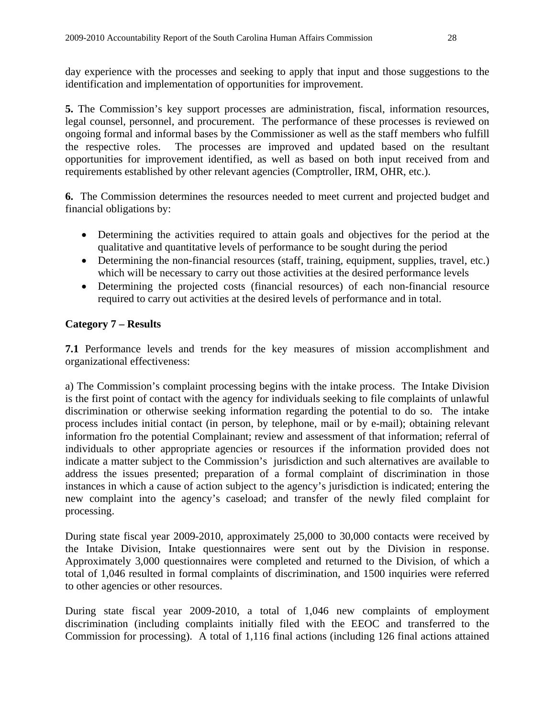day experience with the processes and seeking to apply that input and those suggestions to the identification and implementation of opportunities for improvement.

**5.** The Commission's key support processes are administration, fiscal, information resources, legal counsel, personnel, and procurement. The performance of these processes is reviewed on ongoing formal and informal bases by the Commissioner as well as the staff members who fulfill the respective roles. The processes are improved and updated based on the resultant opportunities for improvement identified, as well as based on both input received from and requirements established by other relevant agencies (Comptroller, IRM, OHR, etc.).

**6.** The Commission determines the resources needed to meet current and projected budget and financial obligations by:

- Determining the activities required to attain goals and objectives for the period at the qualitative and quantitative levels of performance to be sought during the period
- Determining the non-financial resources (staff, training, equipment, supplies, travel, etc.) which will be necessary to carry out those activities at the desired performance levels
- Determining the projected costs (financial resources) of each non-financial resource required to carry out activities at the desired levels of performance and in total.

# **Category 7 – Results**

**7.1** Performance levels and trends for the key measures of mission accomplishment and organizational effectiveness:

a) The Commission's complaint processing begins with the intake process. The Intake Division is the first point of contact with the agency for individuals seeking to file complaints of unlawful discrimination or otherwise seeking information regarding the potential to do so. The intake process includes initial contact (in person, by telephone, mail or by e-mail); obtaining relevant information fro the potential Complainant; review and assessment of that information; referral of individuals to other appropriate agencies or resources if the information provided does not indicate a matter subject to the Commission's jurisdiction and such alternatives are available to address the issues presented; preparation of a formal complaint of discrimination in those instances in which a cause of action subject to the agency's jurisdiction is indicated; entering the new complaint into the agency's caseload; and transfer of the newly filed complaint for processing.

During state fiscal year 2009-2010, approximately 25,000 to 30,000 contacts were received by the Intake Division, Intake questionnaires were sent out by the Division in response. Approximately 3,000 questionnaires were completed and returned to the Division, of which a total of 1,046 resulted in formal complaints of discrimination, and 1500 inquiries were referred to other agencies or other resources.

During state fiscal year 2009-2010, a total of 1,046 new complaints of employment discrimination (including complaints initially filed with the EEOC and transferred to the Commission for processing). A total of 1,116 final actions (including 126 final actions attained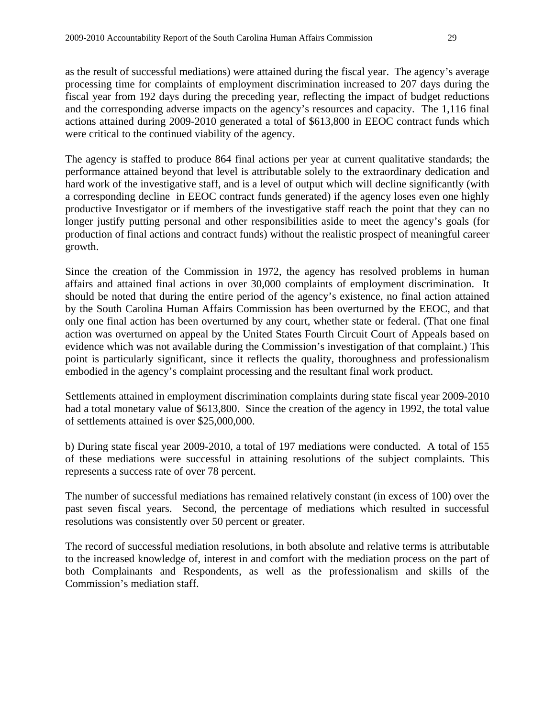as the result of successful mediations) were attained during the fiscal year. The agency's average processing time for complaints of employment discrimination increased to 207 days during the fiscal year from 192 days during the preceding year, reflecting the impact of budget reductions and the corresponding adverse impacts on the agency's resources and capacity. The 1,116 final actions attained during 2009-2010 generated a total of \$613,800 in EEOC contract funds which were critical to the continued viability of the agency.

The agency is staffed to produce 864 final actions per year at current qualitative standards; the performance attained beyond that level is attributable solely to the extraordinary dedication and hard work of the investigative staff, and is a level of output which will decline significantly (with a corresponding decline in EEOC contract funds generated) if the agency loses even one highly productive Investigator or if members of the investigative staff reach the point that they can no longer justify putting personal and other responsibilities aside to meet the agency's goals (for production of final actions and contract funds) without the realistic prospect of meaningful career growth.

Since the creation of the Commission in 1972, the agency has resolved problems in human affairs and attained final actions in over 30,000 complaints of employment discrimination. It should be noted that during the entire period of the agency's existence, no final action attained by the South Carolina Human Affairs Commission has been overturned by the EEOC, and that only one final action has been overturned by any court, whether state or federal. (That one final action was overturned on appeal by the United States Fourth Circuit Court of Appeals based on evidence which was not available during the Commission's investigation of that complaint.) This point is particularly significant, since it reflects the quality, thoroughness and professionalism embodied in the agency's complaint processing and the resultant final work product.

Settlements attained in employment discrimination complaints during state fiscal year 2009-2010 had a total monetary value of \$613,800. Since the creation of the agency in 1992, the total value of settlements attained is over \$25,000,000.

b) During state fiscal year 2009-2010, a total of 197 mediations were conducted. A total of 155 of these mediations were successful in attaining resolutions of the subject complaints. This represents a success rate of over 78 percent.

The number of successful mediations has remained relatively constant (in excess of 100) over the past seven fiscal years. Second, the percentage of mediations which resulted in successful resolutions was consistently over 50 percent or greater.

The record of successful mediation resolutions, in both absolute and relative terms is attributable to the increased knowledge of, interest in and comfort with the mediation process on the part of both Complainants and Respondents, as well as the professionalism and skills of the Commission's mediation staff.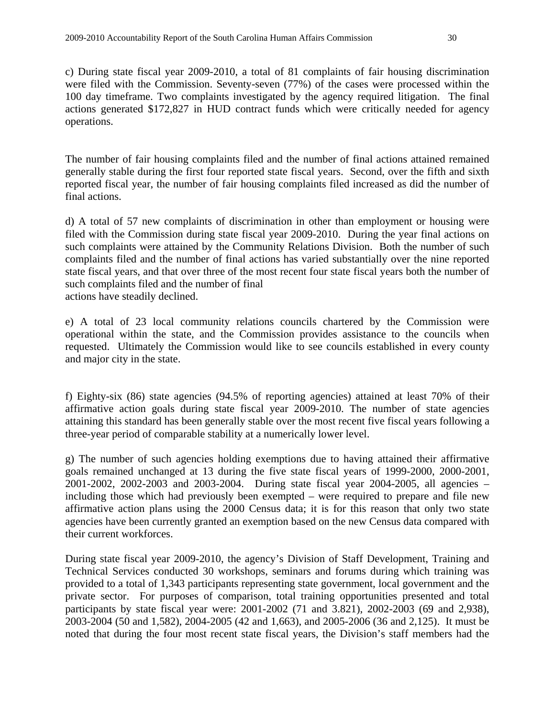c) During state fiscal year 2009-2010, a total of 81 complaints of fair housing discrimination were filed with the Commission. Seventy-seven (77%) of the cases were processed within the 100 day timeframe. Two complaints investigated by the agency required litigation. The final actions generated \$172,827 in HUD contract funds which were critically needed for agency operations.

The number of fair housing complaints filed and the number of final actions attained remained generally stable during the first four reported state fiscal years. Second, over the fifth and sixth reported fiscal year, the number of fair housing complaints filed increased as did the number of final actions.

d) A total of 57 new complaints of discrimination in other than employment or housing were filed with the Commission during state fiscal year 2009-2010. During the year final actions on such complaints were attained by the Community Relations Division. Both the number of such complaints filed and the number of final actions has varied substantially over the nine reported state fiscal years, and that over three of the most recent four state fiscal years both the number of such complaints filed and the number of final actions have steadily declined.

e) A total of 23 local community relations councils chartered by the Commission were operational within the state, and the Commission provides assistance to the councils when requested. Ultimately the Commission would like to see councils established in every county and major city in the state.

f) Eighty-six (86) state agencies (94.5% of reporting agencies) attained at least 70% of their affirmative action goals during state fiscal year 2009-2010. The number of state agencies attaining this standard has been generally stable over the most recent five fiscal years following a three-year period of comparable stability at a numerically lower level.

g) The number of such agencies holding exemptions due to having attained their affirmative goals remained unchanged at 13 during the five state fiscal years of 1999-2000, 2000-2001, 2001-2002, 2002-2003 and 2003-2004. During state fiscal year 2004-2005, all agencies – including those which had previously been exempted – were required to prepare and file new affirmative action plans using the 2000 Census data; it is for this reason that only two state agencies have been currently granted an exemption based on the new Census data compared with their current workforces.

During state fiscal year 2009-2010, the agency's Division of Staff Development, Training and Technical Services conducted 30 workshops, seminars and forums during which training was provided to a total of 1,343 participants representing state government, local government and the private sector. For purposes of comparison, total training opportunities presented and total participants by state fiscal year were: 2001-2002 (71 and 3.821), 2002-2003 (69 and 2,938), 2003-2004 (50 and 1,582), 2004-2005 (42 and 1,663), and 2005-2006 (36 and 2,125). It must be noted that during the four most recent state fiscal years, the Division's staff members had the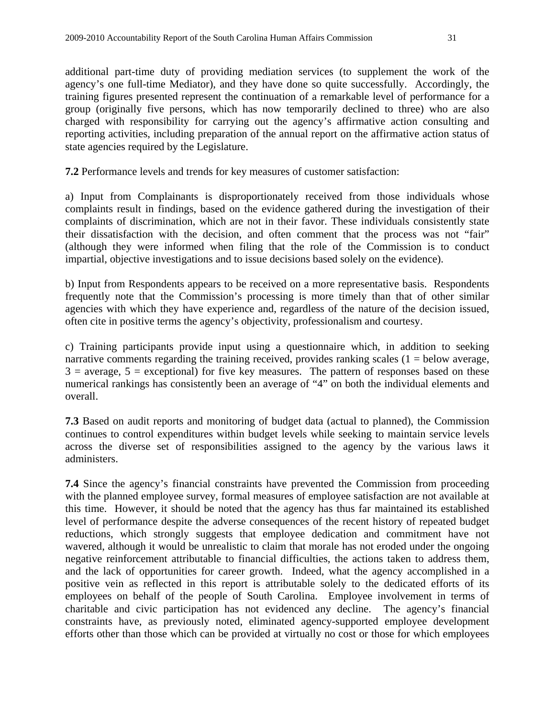additional part-time duty of providing mediation services (to supplement the work of the agency's one full-time Mediator), and they have done so quite successfully. Accordingly, the training figures presented represent the continuation of a remarkable level of performance for a group (originally five persons, which has now temporarily declined to three) who are also charged with responsibility for carrying out the agency's affirmative action consulting and reporting activities, including preparation of the annual report on the affirmative action status of state agencies required by the Legislature.

**7.2** Performance levels and trends for key measures of customer satisfaction:

a) Input from Complainants is disproportionately received from those individuals whose complaints result in findings, based on the evidence gathered during the investigation of their complaints of discrimination, which are not in their favor. These individuals consistently state their dissatisfaction with the decision, and often comment that the process was not "fair" (although they were informed when filing that the role of the Commission is to conduct impartial, objective investigations and to issue decisions based solely on the evidence).

b) Input from Respondents appears to be received on a more representative basis. Respondents frequently note that the Commission's processing is more timely than that of other similar agencies with which they have experience and, regardless of the nature of the decision issued, often cite in positive terms the agency's objectivity, professionalism and courtesy.

c) Training participants provide input using a questionnaire which, in addition to seeking narrative comments regarding the training received, provides ranking scales  $(1 =$  below average,  $3$  = average,  $5$  = exceptional) for five key measures. The pattern of responses based on these numerical rankings has consistently been an average of "4" on both the individual elements and overall.

**7.3** Based on audit reports and monitoring of budget data (actual to planned), the Commission continues to control expenditures within budget levels while seeking to maintain service levels across the diverse set of responsibilities assigned to the agency by the various laws it administers.

**7.4** Since the agency's financial constraints have prevented the Commission from proceeding with the planned employee survey, formal measures of employee satisfaction are not available at this time. However, it should be noted that the agency has thus far maintained its established level of performance despite the adverse consequences of the recent history of repeated budget reductions, which strongly suggests that employee dedication and commitment have not wavered, although it would be unrealistic to claim that morale has not eroded under the ongoing negative reinforcement attributable to financial difficulties, the actions taken to address them, and the lack of opportunities for career growth. Indeed, what the agency accomplished in a positive vein as reflected in this report is attributable solely to the dedicated efforts of its employees on behalf of the people of South Carolina. Employee involvement in terms of charitable and civic participation has not evidenced any decline. The agency's financial constraints have, as previously noted, eliminated agency-supported employee development efforts other than those which can be provided at virtually no cost or those for which employees